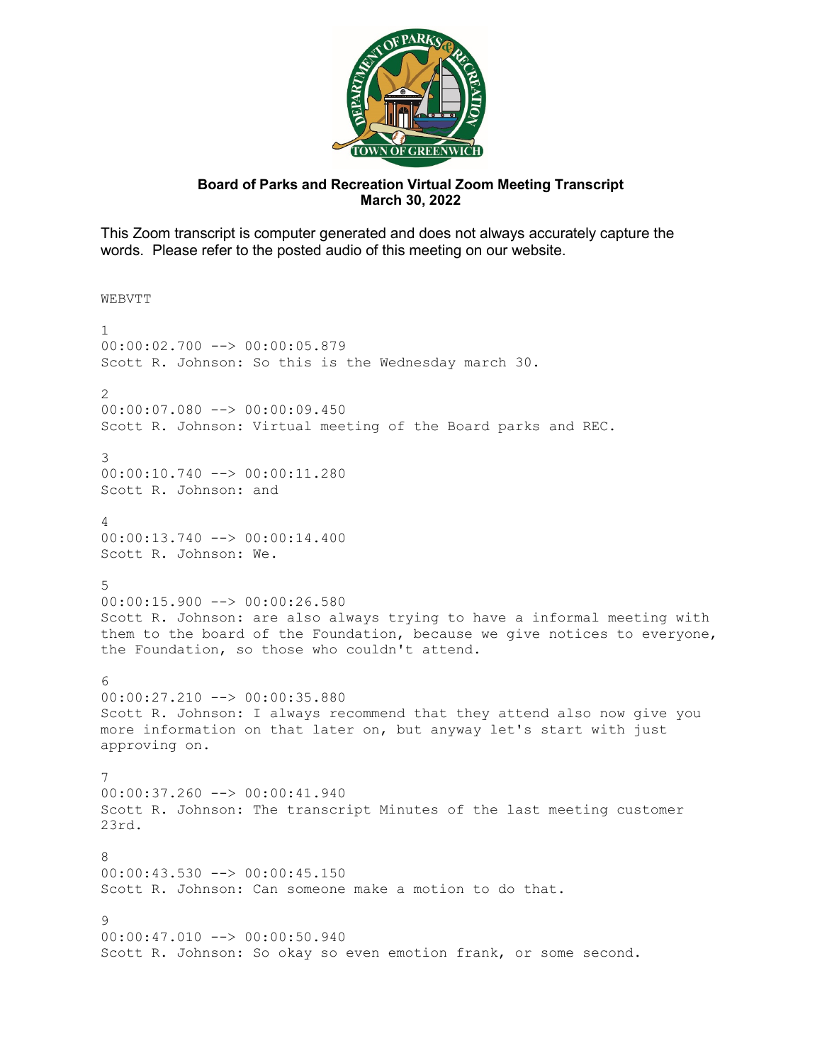

## **Board of Parks and Recreation Virtual Zoom Meeting Transcript March 30, 2022**

This Zoom transcript is computer generated and does not always accurately capture the words. Please refer to the posted audio of this meeting on our website.

**WEBVTT** 

1 00:00:02.700 --> 00:00:05.879 Scott R. Johnson: So this is the Wednesday march 30.  $\mathcal{D}$ 00:00:07.080 --> 00:00:09.450 Scott R. Johnson: Virtual meeting of the Board parks and REC. 3 00:00:10.740 --> 00:00:11.280 Scott R. Johnson: and 4 00:00:13.740 --> 00:00:14.400 Scott R. Johnson: We. 5 00:00:15.900 --> 00:00:26.580 Scott R. Johnson: are also always trying to have a informal meeting with them to the board of the Foundation, because we give notices to everyone, the Foundation, so those who couldn't attend.  $6$ 00:00:27.210 --> 00:00:35.880 Scott R. Johnson: I always recommend that they attend also now give you more information on that later on, but anyway let's start with just approving on. 7 00:00:37.260 --> 00:00:41.940 Scott R. Johnson: The transcript Minutes of the last meeting customer 23rd. 8 00:00:43.530 --> 00:00:45.150 Scott R. Johnson: Can someone make a motion to do that.  $\alpha$ 00:00:47.010 --> 00:00:50.940 Scott R. Johnson: So okay so even emotion frank, or some second.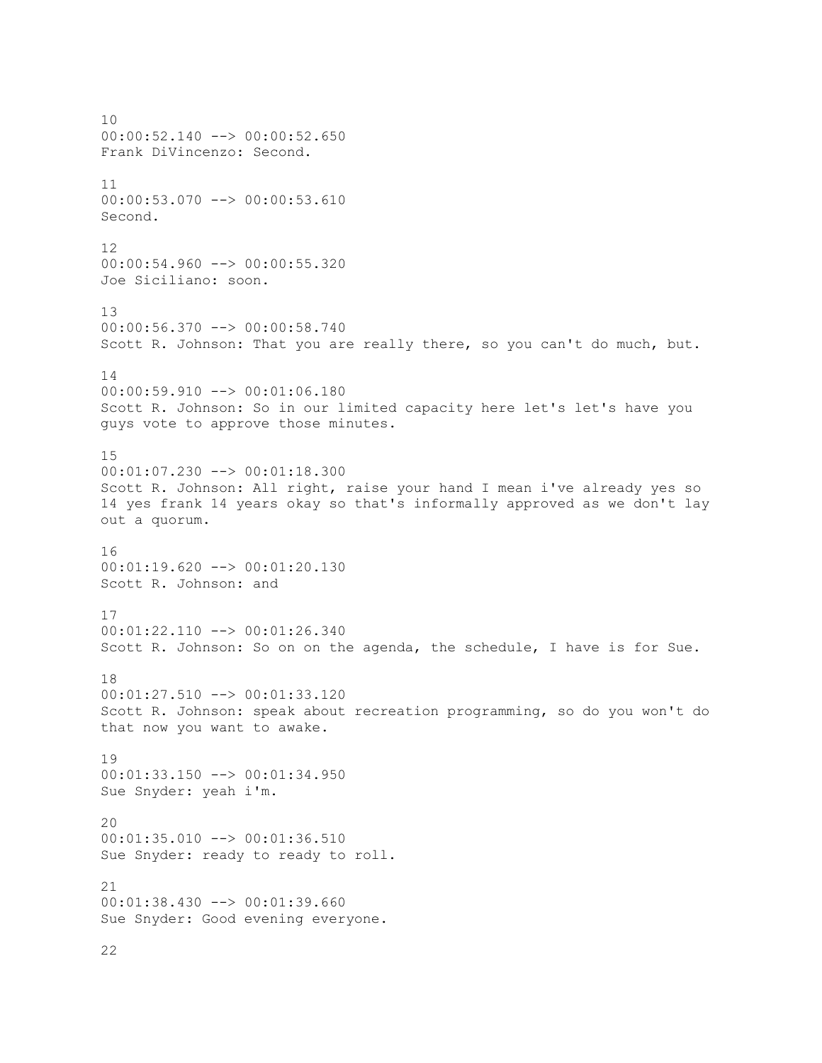10 00:00:52.140 --> 00:00:52.650 Frank DiVincenzo: Second. 11 00:00:53.070 --> 00:00:53.610 Second. 12 00:00:54.960 --> 00:00:55.320 Joe Siciliano: soon. 13 00:00:56.370 --> 00:00:58.740 Scott R. Johnson: That you are really there, so you can't do much, but. 14 00:00:59.910 --> 00:01:06.180 Scott R. Johnson: So in our limited capacity here let's let's have you guys vote to approve those minutes. 15 00:01:07.230 --> 00:01:18.300 Scott R. Johnson: All right, raise your hand I mean i've already yes so 14 yes frank 14 years okay so that's informally approved as we don't lay out a quorum. 16 00:01:19.620 --> 00:01:20.130 Scott R. Johnson: and 17 00:01:22.110 --> 00:01:26.340 Scott R. Johnson: So on on the agenda, the schedule, I have is for Sue. 18 00:01:27.510 --> 00:01:33.120 Scott R. Johnson: speak about recreation programming, so do you won't do that now you want to awake. 19 00:01:33.150 --> 00:01:34.950 Sue Snyder: yeah i'm. 20 00:01:35.010 --> 00:01:36.510 Sue Snyder: ready to ready to roll. 21 00:01:38.430 --> 00:01:39.660 Sue Snyder: Good evening everyone.

22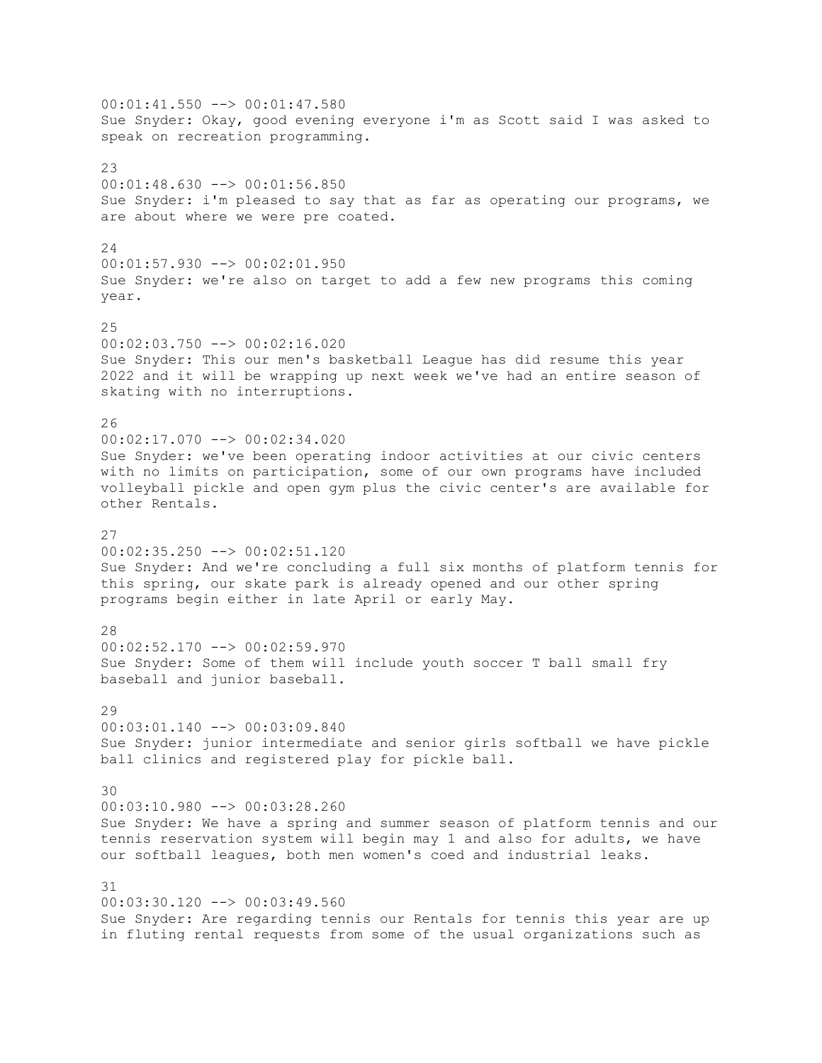00:01:41.550 --> 00:01:47.580 Sue Snyder: Okay, good evening everyone i'm as Scott said I was asked to speak on recreation programming.  $2<sup>2</sup>$ 00:01:48.630 --> 00:01:56.850 Sue Snyder: i'm pleased to say that as far as operating our programs, we are about where we were pre coated. 24 00:01:57.930 --> 00:02:01.950 Sue Snyder: we're also on target to add a few new programs this coming year. 25 00:02:03.750 --> 00:02:16.020 Sue Snyder: This our men's basketball League has did resume this year 2022 and it will be wrapping up next week we've had an entire season of skating with no interruptions. 26 00:02:17.070 --> 00:02:34.020 Sue Snyder: we've been operating indoor activities at our civic centers with no limits on participation, some of our own programs have included volleyball pickle and open gym plus the civic center's are available for other Rentals. 27 00:02:35.250 --> 00:02:51.120 Sue Snyder: And we're concluding a full six months of platform tennis for this spring, our skate park is already opened and our other spring programs begin either in late April or early May. 28 00:02:52.170 --> 00:02:59.970 Sue Snyder: Some of them will include youth soccer T ball small fry baseball and junior baseball. 29 00:03:01.140 --> 00:03:09.840 Sue Snyder: junior intermediate and senior girls softball we have pickle ball clinics and registered play for pickle ball. 30 00:03:10.980 --> 00:03:28.260 Sue Snyder: We have a spring and summer season of platform tennis and our tennis reservation system will begin may 1 and also for adults, we have our softball leagues, both men women's coed and industrial leaks. 31 00:03:30.120 --> 00:03:49.560 Sue Snyder: Are regarding tennis our Rentals for tennis this year are up in fluting rental requests from some of the usual organizations such as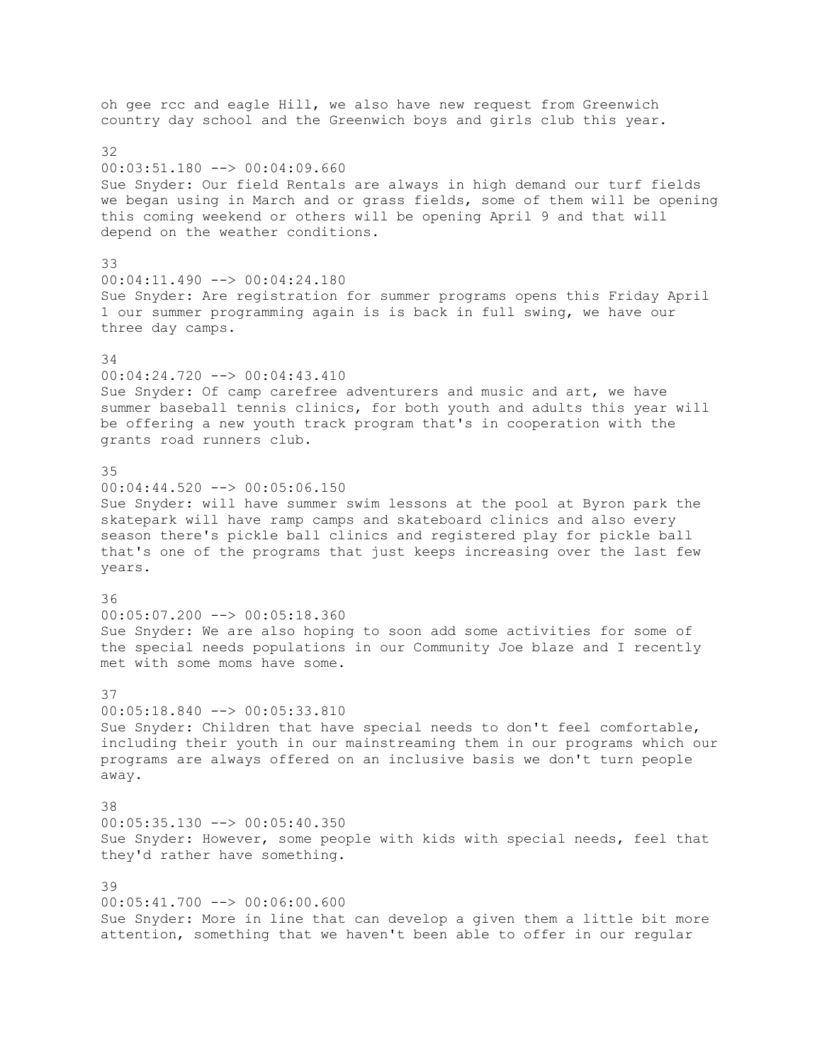oh gee rcc and eagle Hill, we also have new request from Greenwich country day school and the Greenwich boys and girls club this year. 32 00:03:51.180 --> 00:04:09.660 Sue Snyder: Our field Rentals are always in high demand our turf fields we began using in March and or grass fields, some of them will be opening this coming weekend or others will be opening April 9 and that will depend on the weather conditions. 33 00:04:11.490 --> 00:04:24.180 Sue Snyder: Are registration for summer programs opens this Friday April 1 our summer programming again is is back in full swing, we have our three day camps. 34 00:04:24.720 --> 00:04:43.410 Sue Snyder: Of camp carefree adventurers and music and art, we have summer baseball tennis clinics, for both youth and adults this year will be offering a new youth track program that's in cooperation with the grants road runners club. 35 00:04:44.520 --> 00:05:06.150 Sue Snyder: will have summer swim lessons at the pool at Byron park the skatepark will have ramp camps and skateboard clinics and also every season there's pickle ball clinics and registered play for pickle ball that's one of the programs that just keeps increasing over the last few years. 36 00:05:07.200 --> 00:05:18.360 Sue Snyder: We are also hoping to soon add some activities for some of the special needs populations in our Community Joe blaze and I recently met with some moms have some. 37 00:05:18.840 --> 00:05:33.810 Sue Snyder: Children that have special needs to don't feel comfortable, including their youth in our mainstreaming them in our programs which our programs are always offered on an inclusive basis we don't turn people away. 38 00:05:35.130 --> 00:05:40.350 Sue Snyder: However, some people with kids with special needs, feel that they'd rather have something. 39 00:05:41.700 --> 00:06:00.600 Sue Snyder: More in line that can develop a given them a little bit more attention, something that we haven't been able to offer in our regular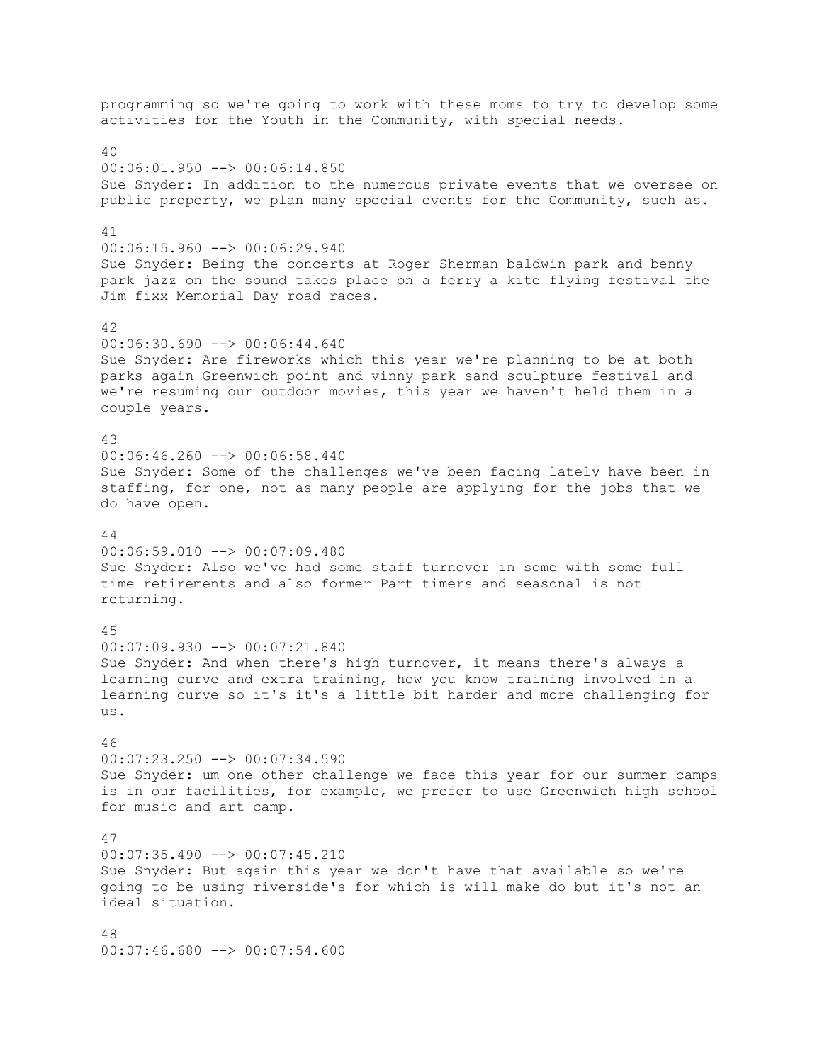programming so we're going to work with these moms to try to develop some activities for the Youth in the Community, with special needs. 40 00:06:01.950 --> 00:06:14.850 Sue Snyder: In addition to the numerous private events that we oversee on public property, we plan many special events for the Community, such as. 41 00:06:15.960 --> 00:06:29.940 Sue Snyder: Being the concerts at Roger Sherman baldwin park and benny park jazz on the sound takes place on a ferry a kite flying festival the Jim fixx Memorial Day road races. 42  $00:06:30.690$  -->  $00:06:44.640$ Sue Snyder: Are fireworks which this year we're planning to be at both parks again Greenwich point and vinny park sand sculpture festival and we're resuming our outdoor movies, this year we haven't held them in a couple years. 43 00:06:46.260 --> 00:06:58.440 Sue Snyder: Some of the challenges we've been facing lately have been in staffing, for one, not as many people are applying for the jobs that we do have open. 44 00:06:59.010 --> 00:07:09.480 Sue Snyder: Also we've had some staff turnover in some with some full time retirements and also former Part timers and seasonal is not returning. 45 00:07:09.930 --> 00:07:21.840 Sue Snyder: And when there's high turnover, it means there's always a learning curve and extra training, how you know training involved in a learning curve so it's it's a little bit harder and more challenging for us. 46 00:07:23.250 --> 00:07:34.590 Sue Snyder: um one other challenge we face this year for our summer camps is in our facilities, for example, we prefer to use Greenwich high school for music and art camp. 47  $00:07:35.490$   $\rightarrow$   $00:07:45.210$ Sue Snyder: But again this year we don't have that available so we're going to be using riverside's for which is will make do but it's not an ideal situation. 48  $00:07:46.680$   $\longrightarrow$   $00:07:54.600$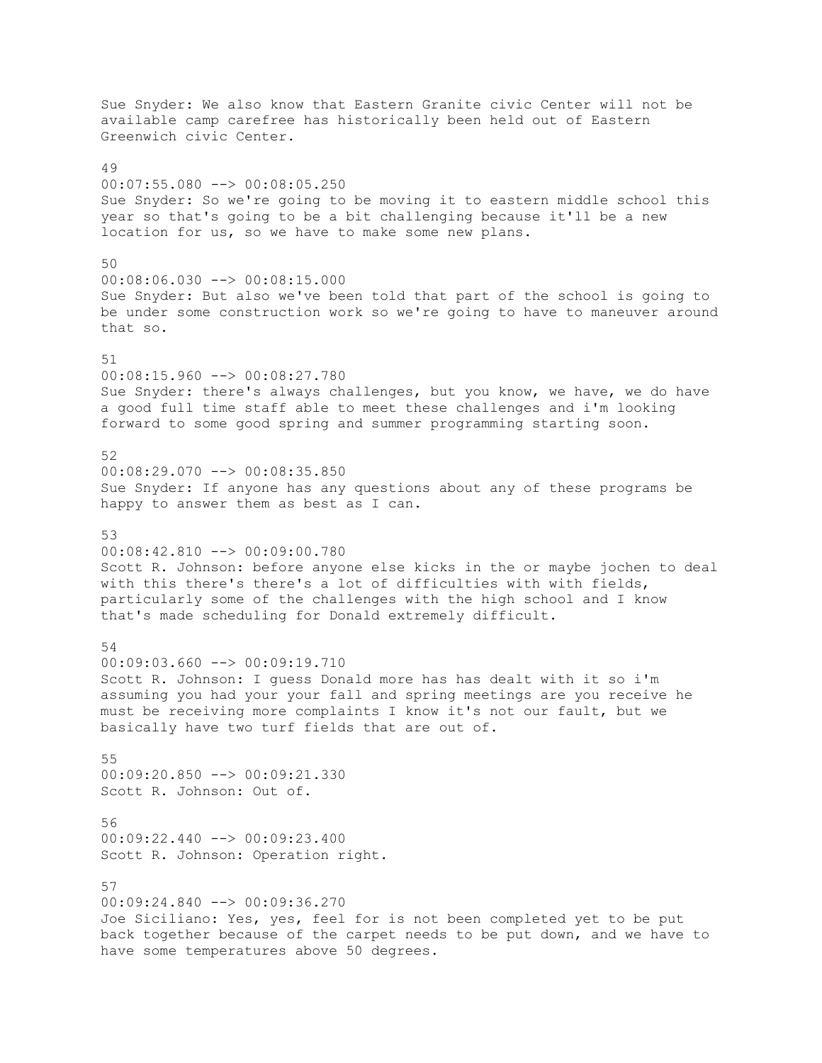Sue Snyder: We also know that Eastern Granite civic Center will not be available camp carefree has historically been held out of Eastern Greenwich civic Center.  $\Lambda$ 9 00:07:55.080 --> 00:08:05.250 Sue Snyder: So we're going to be moving it to eastern middle school this year so that's going to be a bit challenging because it'll be a new location for us, so we have to make some new plans. 50 00:08:06.030 --> 00:08:15.000 Sue Snyder: But also we've been told that part of the school is going to be under some construction work so we're going to have to maneuver around that so. 51 00:08:15.960 --> 00:08:27.780 Sue Snyder: there's always challenges, but you know, we have, we do have a good full time staff able to meet these challenges and i'm looking forward to some good spring and summer programming starting soon. 52 00:08:29.070 --> 00:08:35.850 Sue Snyder: If anyone has any questions about any of these programs be happy to answer them as best as I can. 53 00:08:42.810 --> 00:09:00.780 Scott R. Johnson: before anyone else kicks in the or maybe jochen to deal with this there's there's a lot of difficulties with with fields, particularly some of the challenges with the high school and I know that's made scheduling for Donald extremely difficult. 54 00:09:03.660 --> 00:09:19.710 Scott R. Johnson: I guess Donald more has has dealt with it so i'm assuming you had your your fall and spring meetings are you receive he must be receiving more complaints I know it's not our fault, but we basically have two turf fields that are out of. 55 00:09:20.850 --> 00:09:21.330 Scott R. Johnson: Out of. 56 00:09:22.440 --> 00:09:23.400 Scott R. Johnson: Operation right. 57 00:09:24.840 --> 00:09:36.270 Joe Siciliano: Yes, yes, feel for is not been completed yet to be put back together because of the carpet needs to be put down, and we have to have some temperatures above 50 degrees.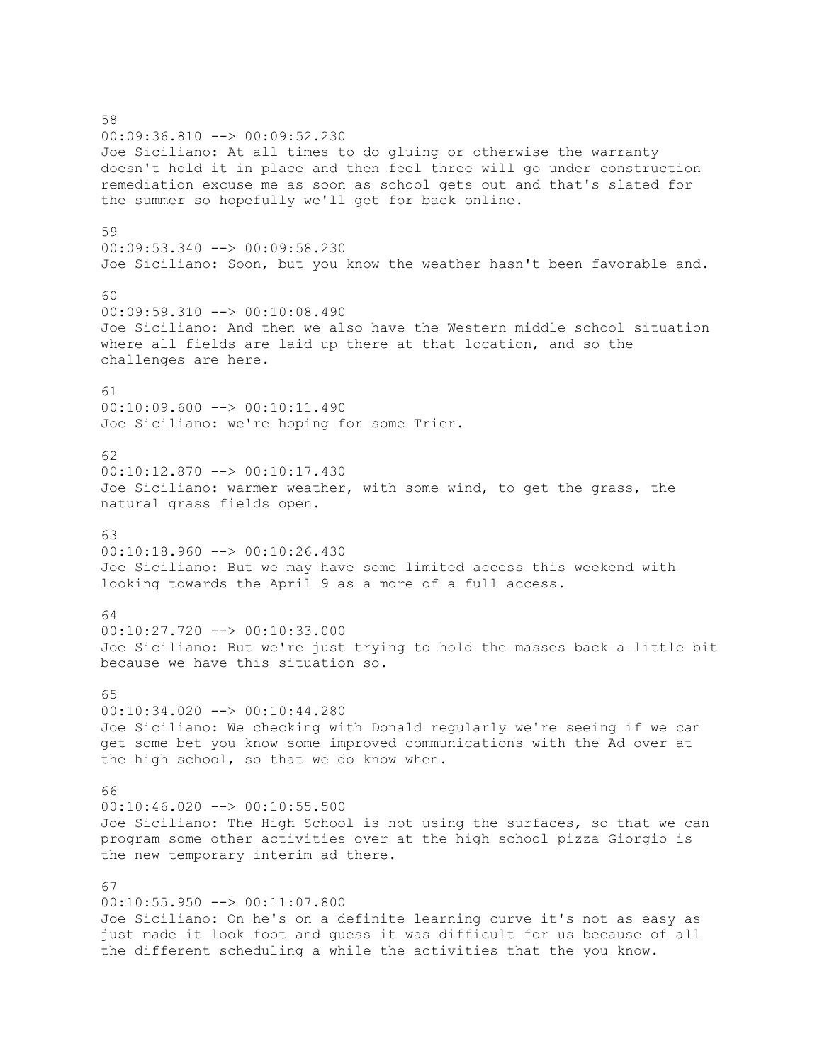58 00:09:36.810 --> 00:09:52.230 Joe Siciliano: At all times to do gluing or otherwise the warranty doesn't hold it in place and then feel three will go under construction remediation excuse me as soon as school gets out and that's slated for the summer so hopefully we'll get for back online. 59 00:09:53.340 --> 00:09:58.230 Joe Siciliano: Soon, but you know the weather hasn't been favorable and. 60 00:09:59.310 --> 00:10:08.490 Joe Siciliano: And then we also have the Western middle school situation where all fields are laid up there at that location, and so the challenges are here. 61 00:10:09.600 --> 00:10:11.490 Joe Siciliano: we're hoping for some Trier. 62 00:10:12.870 --> 00:10:17.430 Joe Siciliano: warmer weather, with some wind, to get the grass, the natural grass fields open. 63 00:10:18.960 --> 00:10:26.430 Joe Siciliano: But we may have some limited access this weekend with looking towards the April 9 as a more of a full access. 64  $00:10:27.720$   $\longrightarrow$   $00:10:33.000$ Joe Siciliano: But we're just trying to hold the masses back a little bit because we have this situation so. 65 00:10:34.020 --> 00:10:44.280 Joe Siciliano: We checking with Donald regularly we're seeing if we can get some bet you know some improved communications with the Ad over at the high school, so that we do know when. 66 00:10:46.020 --> 00:10:55.500 Joe Siciliano: The High School is not using the surfaces, so that we can program some other activities over at the high school pizza Giorgio is the new temporary interim ad there. 67 00:10:55.950 --> 00:11:07.800 Joe Siciliano: On he's on a definite learning curve it's not as easy as just made it look foot and guess it was difficult for us because of all the different scheduling a while the activities that the you know.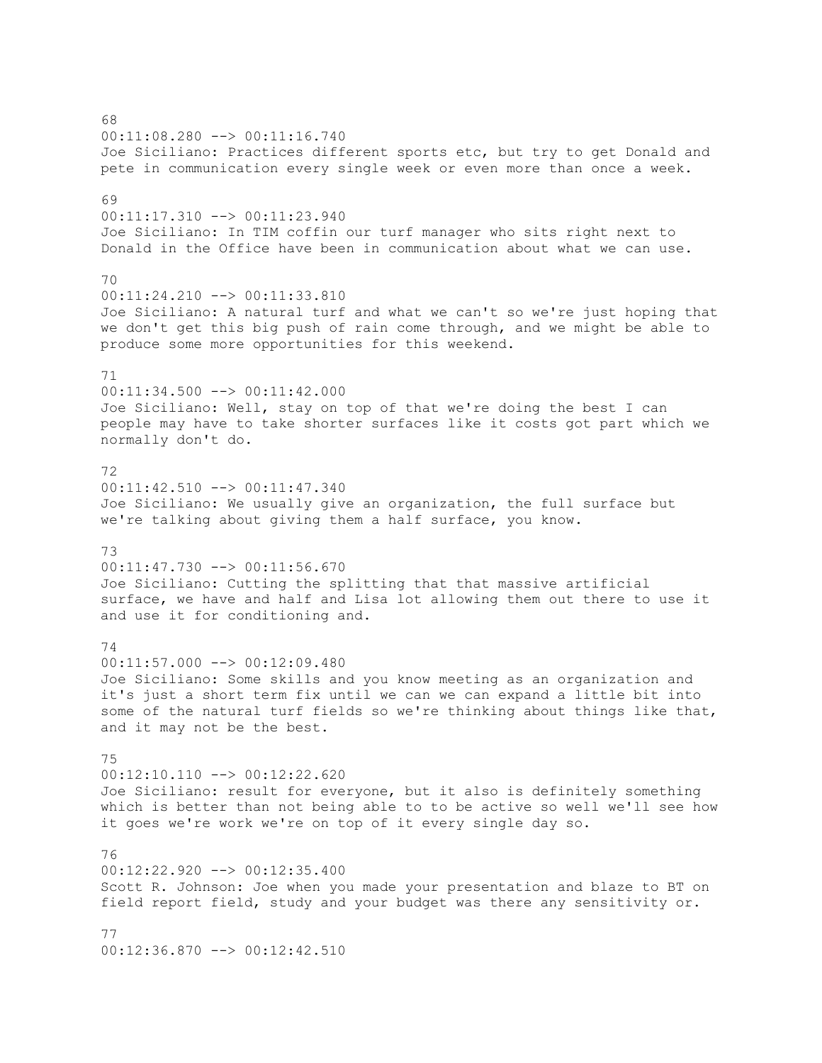68 00:11:08.280 --> 00:11:16.740 Joe Siciliano: Practices different sports etc, but try to get Donald and pete in communication every single week or even more than once a week. 69 00:11:17.310 --> 00:11:23.940 Joe Siciliano: In TIM coffin our turf manager who sits right next to Donald in the Office have been in communication about what we can use. 70 00:11:24.210 --> 00:11:33.810 Joe Siciliano: A natural turf and what we can't so we're just hoping that we don't get this big push of rain come through, and we might be able to produce some more opportunities for this weekend. 71 00:11:34.500 --> 00:11:42.000 Joe Siciliano: Well, stay on top of that we're doing the best I can people may have to take shorter surfaces like it costs got part which we normally don't do. 72 00:11:42.510 --> 00:11:47.340 Joe Siciliano: We usually give an organization, the full surface but we're talking about giving them a half surface, you know. 73 00:11:47.730 --> 00:11:56.670 Joe Siciliano: Cutting the splitting that that massive artificial surface, we have and half and Lisa lot allowing them out there to use it and use it for conditioning and. 74 00:11:57.000 --> 00:12:09.480 Joe Siciliano: Some skills and you know meeting as an organization and it's just a short term fix until we can we can expand a little bit into some of the natural turf fields so we're thinking about things like that, and it may not be the best. 75 00:12:10.110 --> 00:12:22.620 Joe Siciliano: result for everyone, but it also is definitely something which is better than not being able to to be active so well we'll see how it goes we're work we're on top of it every single day so. 76 00:12:22.920 --> 00:12:35.400 Scott R. Johnson: Joe when you made your presentation and blaze to BT on field report field, study and your budget was there any sensitivity or. 77 00:12:36.870 --> 00:12:42.510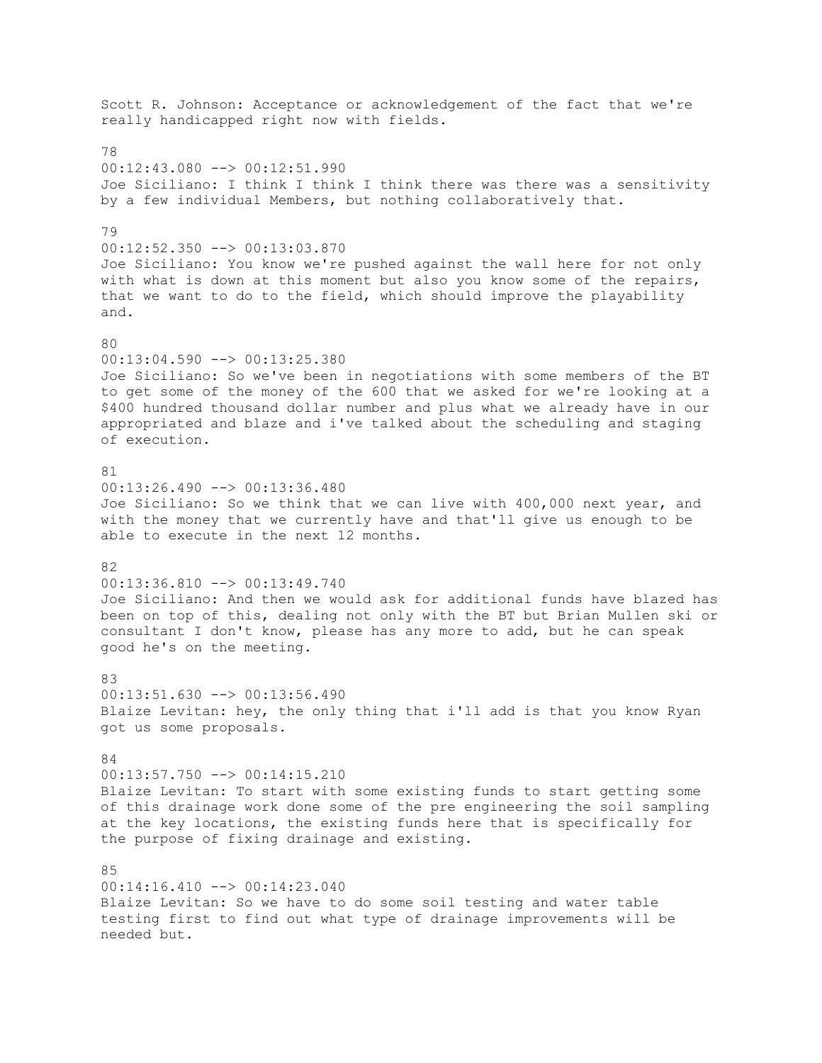Scott R. Johnson: Acceptance or acknowledgement of the fact that we're really handicapped right now with fields. 78  $00:12:43.080$   $\rightarrow$   $00:12:51.990$ Joe Siciliano: I think I think I think there was there was a sensitivity by a few individual Members, but nothing collaboratively that. 79 00:12:52.350 --> 00:13:03.870 Joe Siciliano: You know we're pushed against the wall here for not only with what is down at this moment but also you know some of the repairs, that we want to do to the field, which should improve the playability and. 80 00:13:04.590 --> 00:13:25.380 Joe Siciliano: So we've been in negotiations with some members of the BT to get some of the money of the 600 that we asked for we're looking at a \$400 hundred thousand dollar number and plus what we already have in our appropriated and blaze and i've talked about the scheduling and staging of execution. 81 00:13:26.490 --> 00:13:36.480 Joe Siciliano: So we think that we can live with 400,000 next year, and with the money that we currently have and that'll give us enough to be able to execute in the next 12 months. 82 00:13:36.810 --> 00:13:49.740 Joe Siciliano: And then we would ask for additional funds have blazed has been on top of this, dealing not only with the BT but Brian Mullen ski or consultant I don't know, please has any more to add, but he can speak good he's on the meeting.  $83$ 00:13:51.630 --> 00:13:56.490 Blaize Levitan: hey, the only thing that i'll add is that you know Ryan got us some proposals. 84 00:13:57.750 --> 00:14:15.210 Blaize Levitan: To start with some existing funds to start getting some of this drainage work done some of the pre engineering the soil sampling at the key locations, the existing funds here that is specifically for the purpose of fixing drainage and existing.  $85$ 00:14:16.410 --> 00:14:23.040 Blaize Levitan: So we have to do some soil testing and water table testing first to find out what type of drainage improvements will be needed but.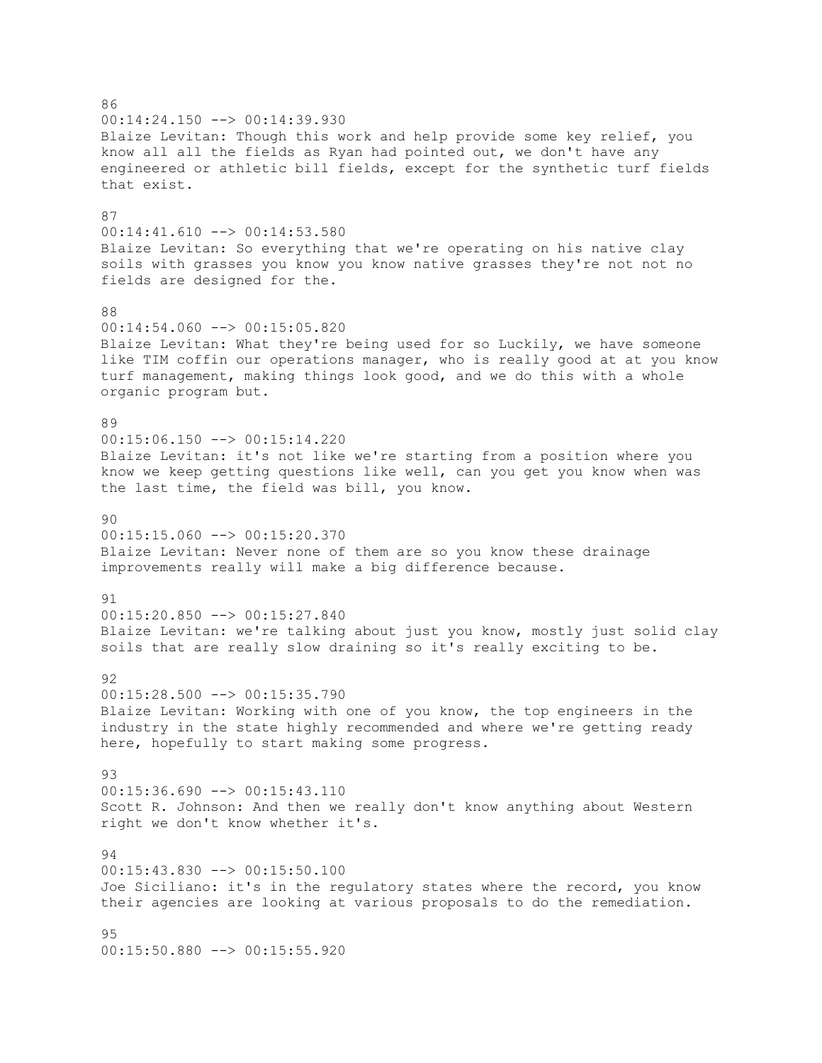86 00:14:24.150 --> 00:14:39.930 Blaize Levitan: Though this work and help provide some key relief, you know all all the fields as Ryan had pointed out, we don't have any engineered or athletic bill fields, except for the synthetic turf fields that exist. 87 00:14:41.610 --> 00:14:53.580 Blaize Levitan: So everything that we're operating on his native clay soils with grasses you know you know native grasses they're not not no fields are designed for the. 88  $00:14:54.060$  -->  $00:15:05.820$ Blaize Levitan: What they're being used for so Luckily, we have someone like TIM coffin our operations manager, who is really good at at you know turf management, making things look good, and we do this with a whole organic program but. 89 00:15:06.150 --> 00:15:14.220 Blaize Levitan: it's not like we're starting from a position where you know we keep getting questions like well, can you get you know when was the last time, the field was bill, you know.  $90$  $00:15:15.060$  -->  $00:15:20.370$ Blaize Levitan: Never none of them are so you know these drainage improvements really will make a big difference because. 91 00:15:20.850 --> 00:15:27.840 Blaize Levitan: we're talking about just you know, mostly just solid clay soils that are really slow draining so it's really exciting to be.  $Q<sub>2</sub>$ 00:15:28.500 --> 00:15:35.790 Blaize Levitan: Working with one of you know, the top engineers in the industry in the state highly recommended and where we're getting ready here, hopefully to start making some progress. 93 00:15:36.690 --> 00:15:43.110 Scott R. Johnson: And then we really don't know anything about Western right we don't know whether it's. 94 00:15:43.830 --> 00:15:50.100 Joe Siciliano: it's in the regulatory states where the record, you know their agencies are looking at various proposals to do the remediation. 95  $00:15:50.880$   $\rightarrow$   $\rightarrow$  00:15:55.920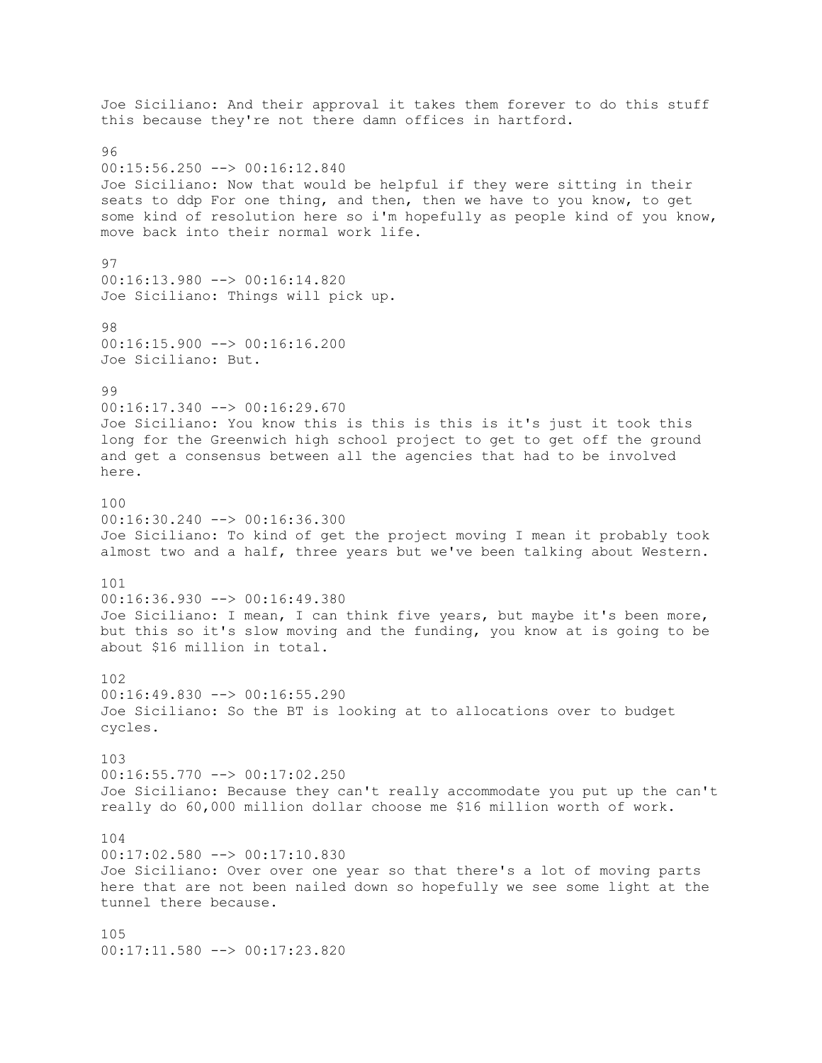Joe Siciliano: And their approval it takes them forever to do this stuff this because they're not there damn offices in hartford. 96 00:15:56.250 --> 00:16:12.840 Joe Siciliano: Now that would be helpful if they were sitting in their seats to ddp For one thing, and then, then we have to you know, to get some kind of resolution here so i'm hopefully as people kind of you know, move back into their normal work life. 97 00:16:13.980 --> 00:16:14.820 Joe Siciliano: Things will pick up. 98 00:16:15.900 --> 00:16:16.200 Joe Siciliano: But. 99 00:16:17.340 --> 00:16:29.670 Joe Siciliano: You know this is this is this is it's just it took this long for the Greenwich high school project to get to get off the ground and get a consensus between all the agencies that had to be involved here. 100  $00:16:30.240$  -->  $00:16:36.300$ Joe Siciliano: To kind of get the project moving I mean it probably took almost two and a half, three years but we've been talking about Western. 101 00:16:36.930 --> 00:16:49.380 Joe Siciliano: I mean, I can think five years, but maybe it's been more, but this so it's slow moving and the funding, you know at is going to be about \$16 million in total. 102 00:16:49.830 --> 00:16:55.290 Joe Siciliano: So the BT is looking at to allocations over to budget cycles. 103 00:16:55.770 --> 00:17:02.250 Joe Siciliano: Because they can't really accommodate you put up the can't really do 60,000 million dollar choose me \$16 million worth of work. 104 00:17:02.580 --> 00:17:10.830 Joe Siciliano: Over over one year so that there's a lot of moving parts here that are not been nailed down so hopefully we see some light at the tunnel there because. 105 00:17:11.580 --> 00:17:23.820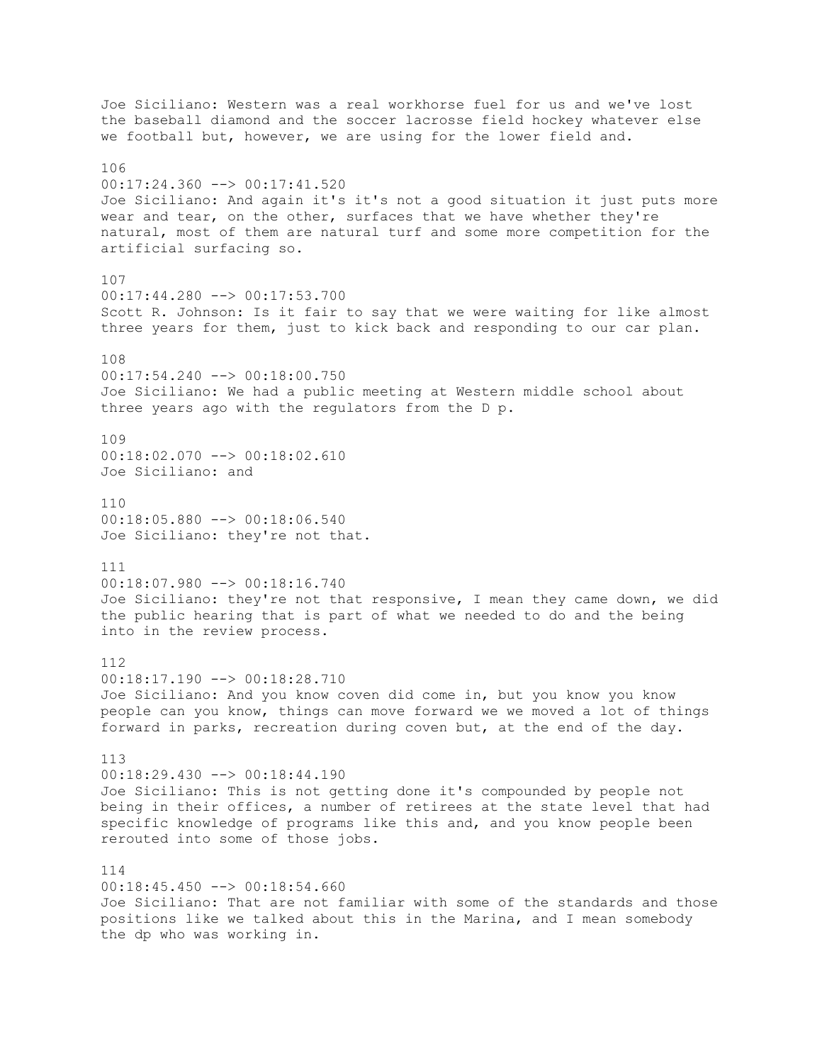Joe Siciliano: Western was a real workhorse fuel for us and we've lost the baseball diamond and the soccer lacrosse field hockey whatever else we football but, however, we are using for the lower field and. 106 00:17:24.360 --> 00:17:41.520 Joe Siciliano: And again it's it's not a good situation it just puts more wear and tear, on the other, surfaces that we have whether they're natural, most of them are natural turf and some more competition for the artificial surfacing so. 107 00:17:44.280 --> 00:17:53.700 Scott R. Johnson: Is it fair to say that we were waiting for like almost three years for them, just to kick back and responding to our car plan. 108 00:17:54.240 --> 00:18:00.750 Joe Siciliano: We had a public meeting at Western middle school about three years ago with the regulators from the D p. 109 00:18:02.070 --> 00:18:02.610 Joe Siciliano: and 110  $00:18:05.880$  -->  $00:18:06.540$ Joe Siciliano: they're not that. 111 00:18:07.980 --> 00:18:16.740 Joe Siciliano: they're not that responsive, I mean they came down, we did the public hearing that is part of what we needed to do and the being into in the review process. 112 00:18:17.190 --> 00:18:28.710 Joe Siciliano: And you know coven did come in, but you know you know people can you know, things can move forward we we moved a lot of things forward in parks, recreation during coven but, at the end of the day. 113 00:18:29.430 --> 00:18:44.190 Joe Siciliano: This is not getting done it's compounded by people not being in their offices, a number of retirees at the state level that had specific knowledge of programs like this and, and you know people been rerouted into some of those jobs. 114 00:18:45.450 --> 00:18:54.660 Joe Siciliano: That are not familiar with some of the standards and those positions like we talked about this in the Marina, and I mean somebody the dp who was working in.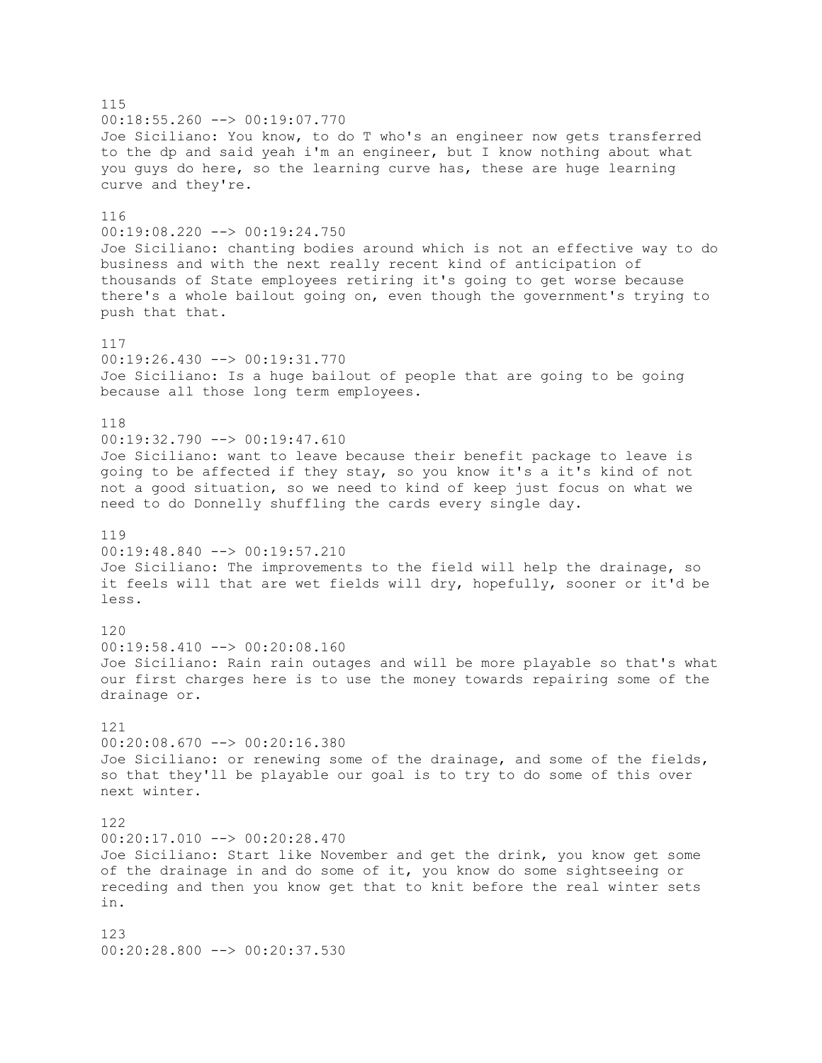115 00:18:55.260 --> 00:19:07.770 Joe Siciliano: You know, to do T who's an engineer now gets transferred to the dp and said yeah i'm an engineer, but I know nothing about what you guys do here, so the learning curve has, these are huge learning curve and they're. 116 00:19:08.220 --> 00:19:24.750 Joe Siciliano: chanting bodies around which is not an effective way to do business and with the next really recent kind of anticipation of thousands of State employees retiring it's going to get worse because there's a whole bailout going on, even though the government's trying to push that that. 117 00:19:26.430 --> 00:19:31.770 Joe Siciliano: Is a huge bailout of people that are going to be going because all those long term employees. 118 00:19:32.790 --> 00:19:47.610 Joe Siciliano: want to leave because their benefit package to leave is going to be affected if they stay, so you know it's a it's kind of not not a good situation, so we need to kind of keep just focus on what we need to do Donnelly shuffling the cards every single day. 119 00:19:48.840 --> 00:19:57.210 Joe Siciliano: The improvements to the field will help the drainage, so it feels will that are wet fields will dry, hopefully, sooner or it'd be less. 120 00:19:58.410 --> 00:20:08.160 Joe Siciliano: Rain rain outages and will be more playable so that's what our first charges here is to use the money towards repairing some of the drainage or. 121  $00:20:08.670$  -->  $00:20:16.380$ Joe Siciliano: or renewing some of the drainage, and some of the fields, so that they'll be playable our goal is to try to do some of this over next winter. 122 00:20:17.010 --> 00:20:28.470 Joe Siciliano: Start like November and get the drink, you know get some of the drainage in and do some of it, you know do some sightseeing or receding and then you know get that to knit before the real winter sets in. 123  $00:20:28.800$   $\longrightarrow$   $00:20:37.530$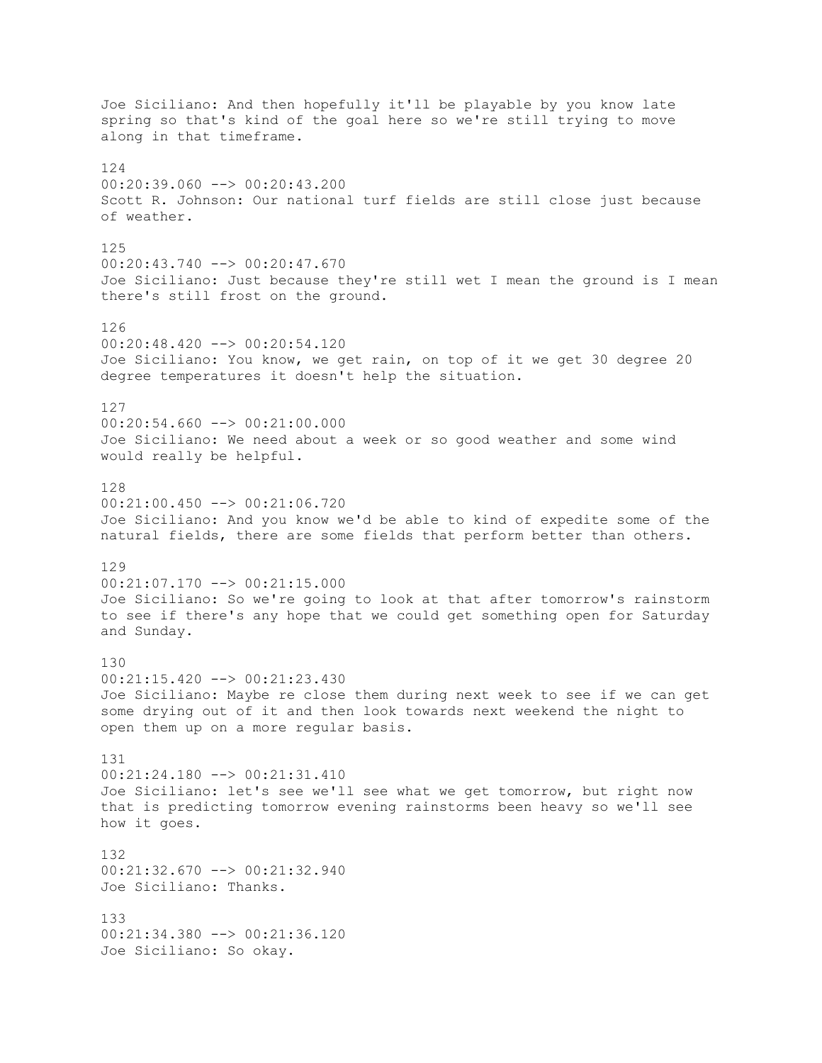Joe Siciliano: And then hopefully it'll be playable by you know late spring so that's kind of the goal here so we're still trying to move along in that timeframe. 124 00:20:39.060 --> 00:20:43.200 Scott R. Johnson: Our national turf fields are still close just because of weather. 125 00:20:43.740 --> 00:20:47.670 Joe Siciliano: Just because they're still wet I mean the ground is I mean there's still frost on the ground. 126 00:20:48.420 --> 00:20:54.120 Joe Siciliano: You know, we get rain, on top of it we get 30 degree 20 degree temperatures it doesn't help the situation. 127  $00:20:54.660$  -->  $00:21:00.000$ Joe Siciliano: We need about a week or so good weather and some wind would really be helpful. 128 00:21:00.450 --> 00:21:06.720 Joe Siciliano: And you know we'd be able to kind of expedite some of the natural fields, there are some fields that perform better than others. 129 00:21:07.170 --> 00:21:15.000 Joe Siciliano: So we're going to look at that after tomorrow's rainstorm to see if there's any hope that we could get something open for Saturday and Sunday. 130 00:21:15.420 --> 00:21:23.430 Joe Siciliano: Maybe re close them during next week to see if we can get some drying out of it and then look towards next weekend the night to open them up on a more regular basis. 131 00:21:24.180 --> 00:21:31.410 Joe Siciliano: let's see we'll see what we get tomorrow, but right now that is predicting tomorrow evening rainstorms been heavy so we'll see how it goes. 132 00:21:32.670 --> 00:21:32.940 Joe Siciliano: Thanks. 133 00:21:34.380 --> 00:21:36.120 Joe Siciliano: So okay.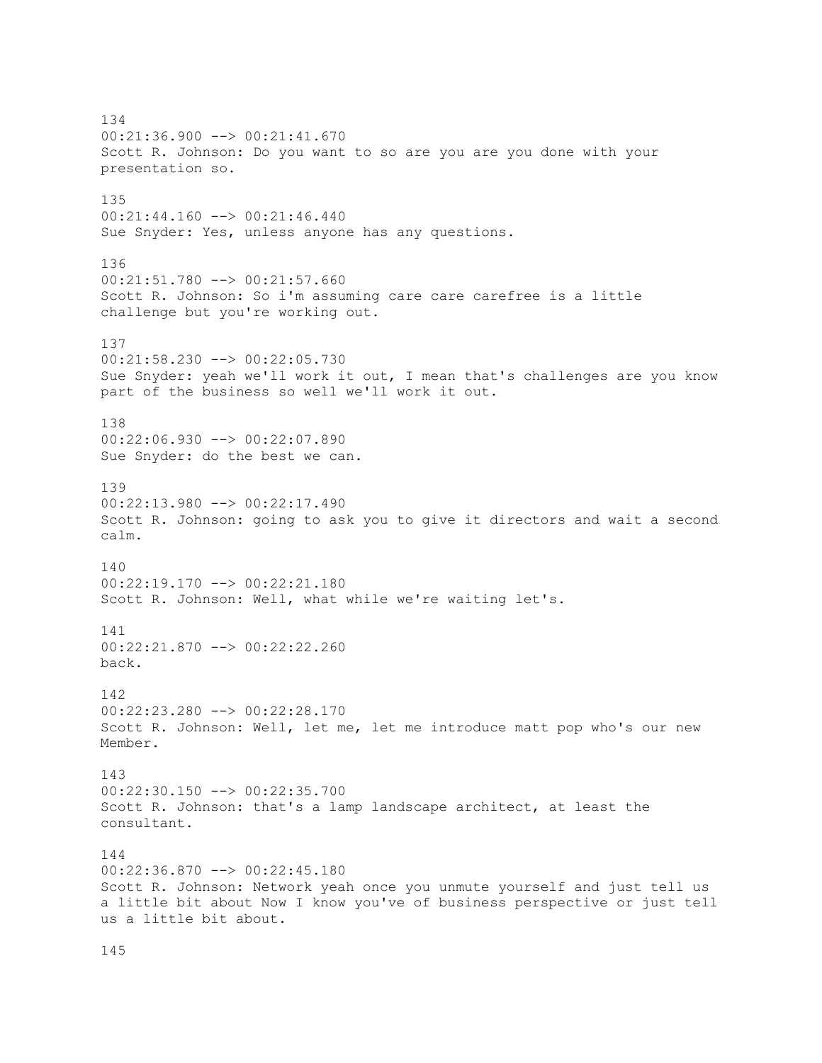134 00:21:36.900 --> 00:21:41.670 Scott R. Johnson: Do you want to so are you are you done with your presentation so. 135 00:21:44.160 --> 00:21:46.440 Sue Snyder: Yes, unless anyone has any questions. 136 00:21:51.780 --> 00:21:57.660 Scott R. Johnson: So i'm assuming care care carefree is a little challenge but you're working out. 137 00:21:58.230 --> 00:22:05.730 Sue Snyder: yeah we'll work it out, I mean that's challenges are you know part of the business so well we'll work it out. 138 00:22:06.930 --> 00:22:07.890 Sue Snyder: do the best we can. 139 00:22:13.980 --> 00:22:17.490 Scott R. Johnson: going to ask you to give it directors and wait a second calm. 140 00:22:19.170 --> 00:22:21.180 Scott R. Johnson: Well, what while we're waiting let's. 141 00:22:21.870 --> 00:22:22.260 back. 142 00:22:23.280 --> 00:22:28.170 Scott R. Johnson: Well, let me, let me introduce matt pop who's our new Member. 143 00:22:30.150 --> 00:22:35.700 Scott R. Johnson: that's a lamp landscape architect, at least the consultant. 144 00:22:36.870 --> 00:22:45.180 Scott R. Johnson: Network yeah once you unmute yourself and just tell us a little bit about Now I know you've of business perspective or just tell us a little bit about.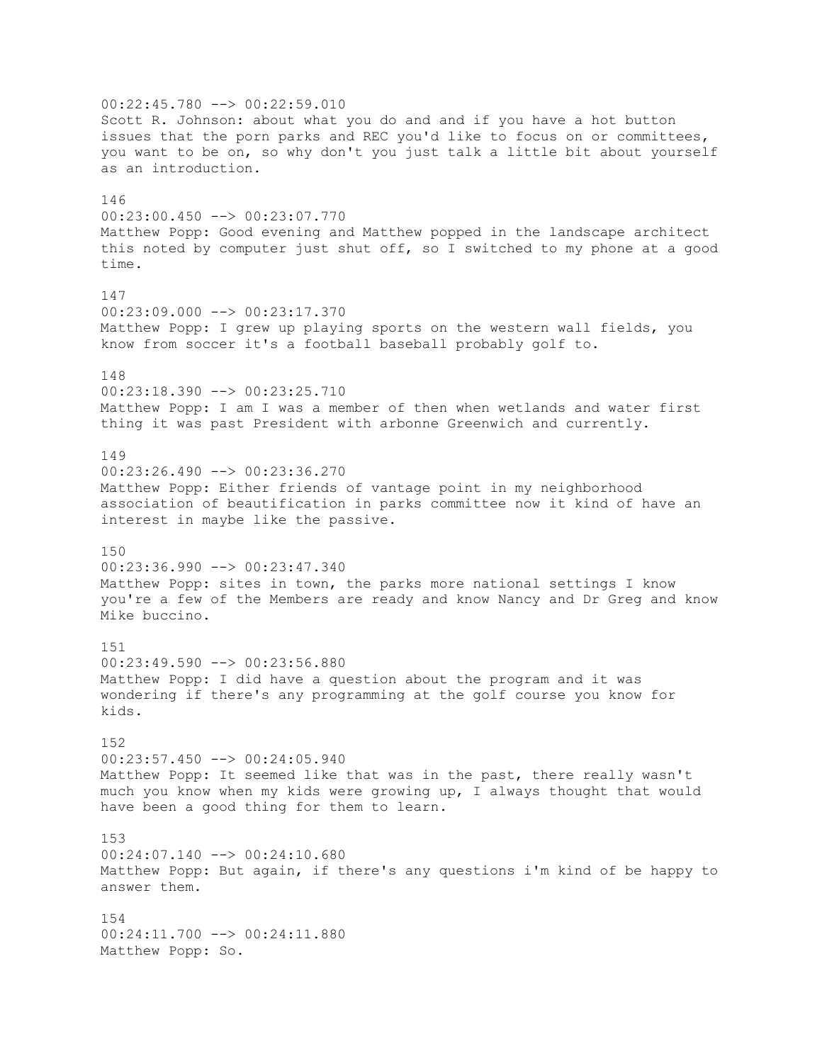00:22:45.780 --> 00:22:59.010 Scott R. Johnson: about what you do and and if you have a hot button issues that the porn parks and REC you'd like to focus on or committees, you want to be on, so why don't you just talk a little bit about yourself as an introduction. 146 00:23:00.450 --> 00:23:07.770 Matthew Popp: Good evening and Matthew popped in the landscape architect this noted by computer just shut off, so I switched to my phone at a good time. 147 00:23:09.000 --> 00:23:17.370 Matthew Popp: I grew up playing sports on the western wall fields, you know from soccer it's a football baseball probably golf to. 148 00:23:18.390 --> 00:23:25.710 Matthew Popp: I am I was a member of then when wetlands and water first thing it was past President with arbonne Greenwich and currently. 149 00:23:26.490 --> 00:23:36.270 Matthew Popp: Either friends of vantage point in my neighborhood association of beautification in parks committee now it kind of have an interest in maybe like the passive. 150 00:23:36.990 --> 00:23:47.340 Matthew Popp: sites in town, the parks more national settings I know you're a few of the Members are ready and know Nancy and Dr Greg and know Mike buccino. 151 00:23:49.590 --> 00:23:56.880 Matthew Popp: I did have a question about the program and it was wondering if there's any programming at the golf course you know for kids. 152 00:23:57.450 --> 00:24:05.940 Matthew Popp: It seemed like that was in the past, there really wasn't much you know when my kids were growing up, I always thought that would have been a good thing for them to learn. 153  $00:24:07.140$   $\longrightarrow$   $00:24:10.680$ Matthew Popp: But again, if there's any questions i'm kind of be happy to answer them. 154 00:24:11.700 --> 00:24:11.880 Matthew Popp: So.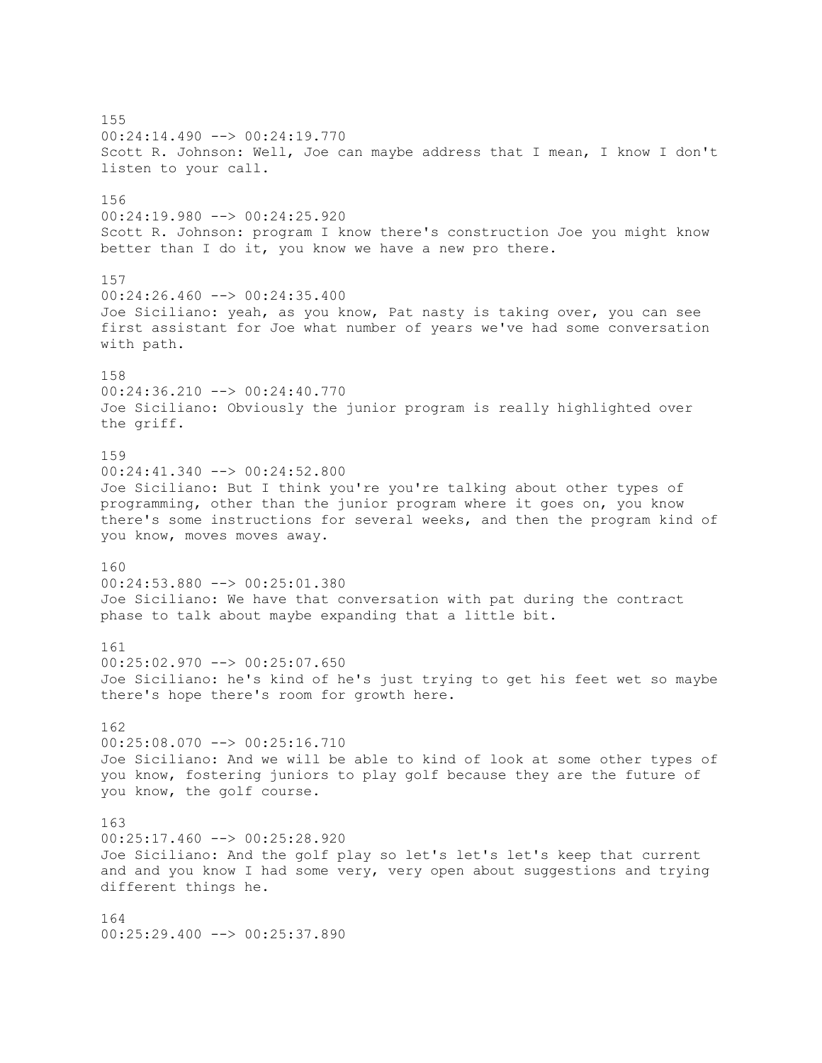155 00:24:14.490 --> 00:24:19.770 Scott R. Johnson: Well, Joe can maybe address that I mean, I know I don't listen to your call. 156 00:24:19.980 --> 00:24:25.920 Scott R. Johnson: program I know there's construction Joe you might know better than I do it, you know we have a new pro there. 157  $00:24:26.460$  -->  $00:24:35.400$ Joe Siciliano: yeah, as you know, Pat nasty is taking over, you can see first assistant for Joe what number of years we've had some conversation with path. 158 00:24:36.210 --> 00:24:40.770 Joe Siciliano: Obviously the junior program is really highlighted over the griff. 159 00:24:41.340 --> 00:24:52.800 Joe Siciliano: But I think you're you're talking about other types of programming, other than the junior program where it goes on, you know there's some instructions for several weeks, and then the program kind of you know, moves moves away. 160 00:24:53.880 --> 00:25:01.380 Joe Siciliano: We have that conversation with pat during the contract phase to talk about maybe expanding that a little bit. 161 00:25:02.970 --> 00:25:07.650 Joe Siciliano: he's kind of he's just trying to get his feet wet so maybe there's hope there's room for growth here. 162  $00:25:08.070$  -->  $00:25:16.710$ Joe Siciliano: And we will be able to kind of look at some other types of you know, fostering juniors to play golf because they are the future of you know, the golf course. 163 00:25:17.460 --> 00:25:28.920 Joe Siciliano: And the golf play so let's let's let's keep that current and and you know I had some very, very open about suggestions and trying different things he. 164 00:25:29.400 --> 00:25:37.890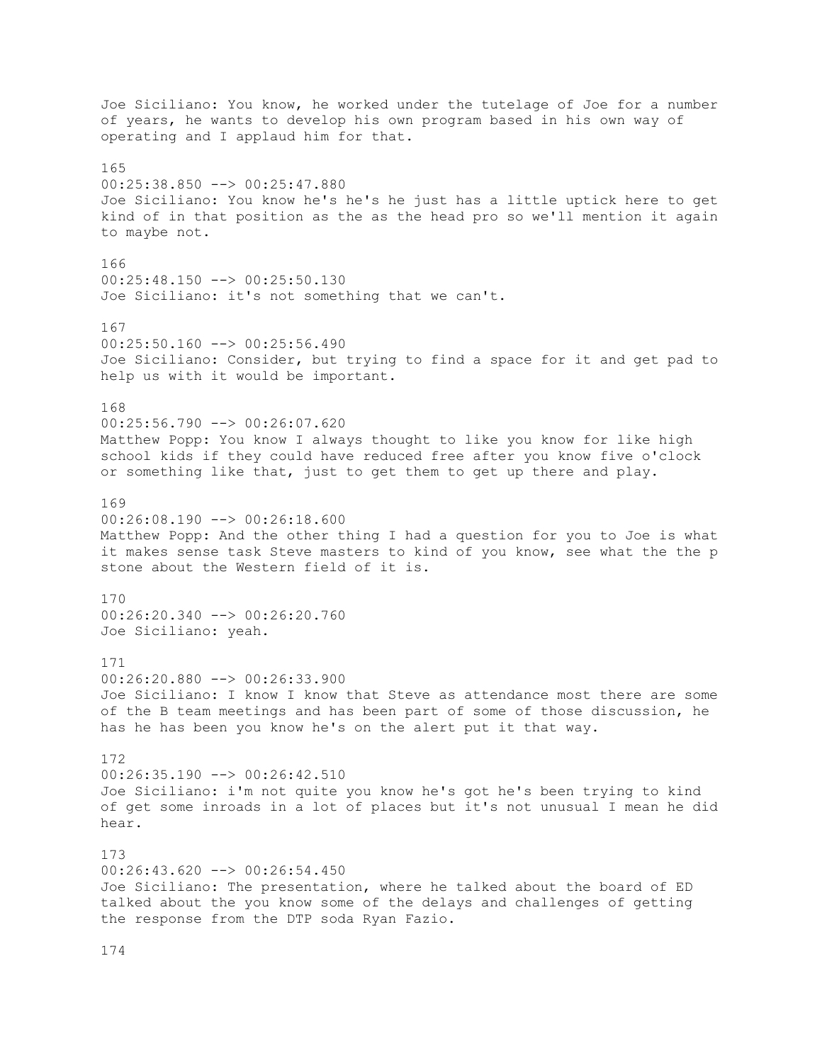Joe Siciliano: You know, he worked under the tutelage of Joe for a number of years, he wants to develop his own program based in his own way of operating and I applaud him for that. 165 00:25:38.850 --> 00:25:47.880 Joe Siciliano: You know he's he's he just has a little uptick here to get kind of in that position as the as the head pro so we'll mention it again to maybe not. 166 00:25:48.150 --> 00:25:50.130 Joe Siciliano: it's not something that we can't. 167  $00:25:50.160$  -->  $00:25:56.490$ Joe Siciliano: Consider, but trying to find a space for it and get pad to help us with it would be important. 168 00:25:56.790 --> 00:26:07.620 Matthew Popp: You know I always thought to like you know for like high school kids if they could have reduced free after you know five o'clock or something like that, just to get them to get up there and play. 169  $00:26:08.190$  -->  $00:26:18.600$ Matthew Popp: And the other thing I had a question for you to Joe is what it makes sense task Steve masters to kind of you know, see what the the p stone about the Western field of it is. 170 00:26:20.340 --> 00:26:20.760 Joe Siciliano: yeah. 171 00:26:20.880 --> 00:26:33.900 Joe Siciliano: I know I know that Steve as attendance most there are some of the B team meetings and has been part of some of those discussion, he has he has been you know he's on the alert put it that way. 172 00:26:35.190 --> 00:26:42.510 Joe Siciliano: i'm not quite you know he's got he's been trying to kind of get some inroads in a lot of places but it's not unusual I mean he did hear. 173 00:26:43.620 --> 00:26:54.450 Joe Siciliano: The presentation, where he talked about the board of ED talked about the you know some of the delays and challenges of getting the response from the DTP soda Ryan Fazio.

174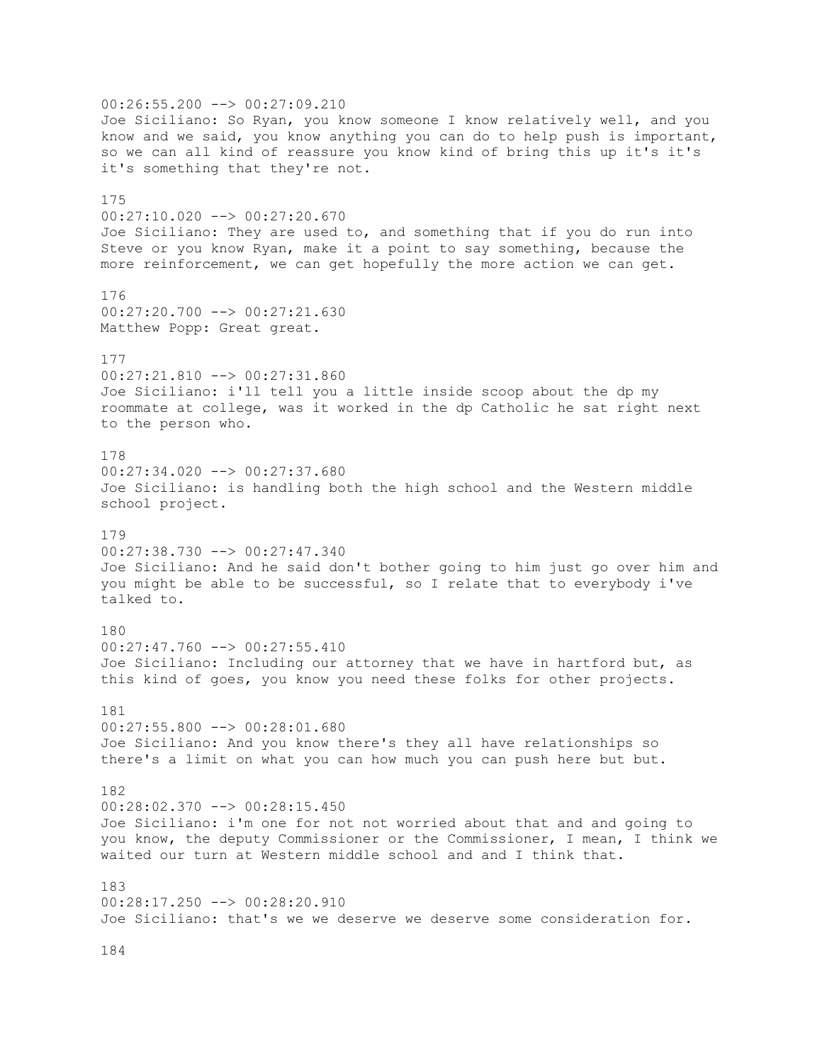00:26:55.200 --> 00:27:09.210 Joe Siciliano: So Ryan, you know someone I know relatively well, and you know and we said, you know anything you can do to help push is important, so we can all kind of reassure you know kind of bring this up it's it's it's something that they're not. 175 00:27:10.020 --> 00:27:20.670 Joe Siciliano: They are used to, and something that if you do run into Steve or you know Ryan, make it a point to say something, because the more reinforcement, we can get hopefully the more action we can get. 176 00:27:20.700 --> 00:27:21.630 Matthew Popp: Great great. 177 00:27:21.810 --> 00:27:31.860 Joe Siciliano: i'll tell you a little inside scoop about the dp my roommate at college, was it worked in the dp Catholic he sat right next to the person who. 178 00:27:34.020 --> 00:27:37.680 Joe Siciliano: is handling both the high school and the Western middle school project. 179 00:27:38.730 --> 00:27:47.340 Joe Siciliano: And he said don't bother going to him just go over him and you might be able to be successful, so I relate that to everybody i've talked to. 180 00:27:47.760 --> 00:27:55.410 Joe Siciliano: Including our attorney that we have in hartford but, as this kind of goes, you know you need these folks for other projects. 181 00:27:55.800 --> 00:28:01.680 Joe Siciliano: And you know there's they all have relationships so there's a limit on what you can how much you can push here but but. 182 00:28:02.370 --> 00:28:15.450 Joe Siciliano: i'm one for not not worried about that and and going to you know, the deputy Commissioner or the Commissioner, I mean, I think we waited our turn at Western middle school and and I think that. 183 00:28:17.250 --> 00:28:20.910 Joe Siciliano: that's we we deserve we deserve some consideration for.

184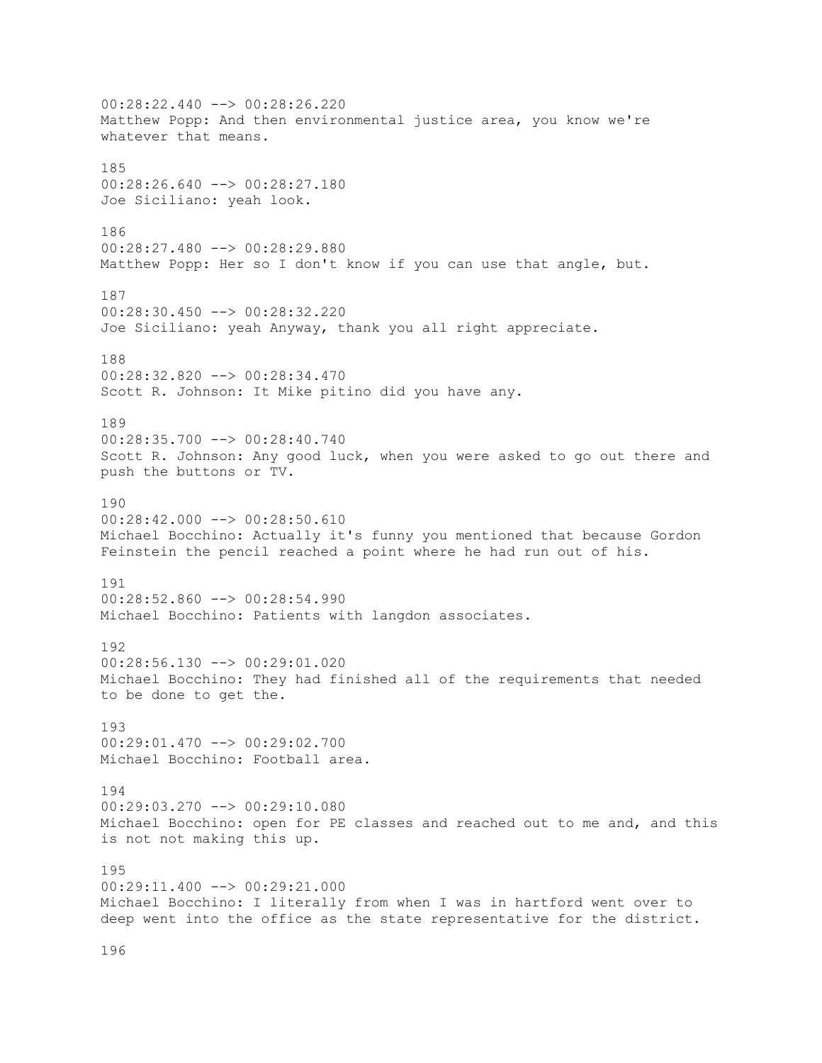00:28:22.440 --> 00:28:26.220 Matthew Popp: And then environmental justice area, you know we're whatever that means. 185 00:28:26.640 --> 00:28:27.180 Joe Siciliano: yeah look. 186 00:28:27.480 --> 00:28:29.880 Matthew Popp: Her so I don't know if you can use that angle, but. 187 00:28:30.450 --> 00:28:32.220 Joe Siciliano: yeah Anyway, thank you all right appreciate. 188 00:28:32.820 --> 00:28:34.470 Scott R. Johnson: It Mike pitino did you have any. 189 00:28:35.700 --> 00:28:40.740 Scott R. Johnson: Any good luck, when you were asked to go out there and push the buttons or TV. 190  $00:28:42.000$  -->  $00:28:50.610$ Michael Bocchino: Actually it's funny you mentioned that because Gordon Feinstein the pencil reached a point where he had run out of his. 191 00:28:52.860 --> 00:28:54.990 Michael Bocchino: Patients with langdon associates. 192 00:28:56.130 --> 00:29:01.020 Michael Bocchino: They had finished all of the requirements that needed to be done to get the. 193 00:29:01.470 --> 00:29:02.700 Michael Bocchino: Football area. 194 00:29:03.270 --> 00:29:10.080 Michael Bocchino: open for PE classes and reached out to me and, and this is not not making this up. 195 00:29:11.400 --> 00:29:21.000 Michael Bocchino: I literally from when I was in hartford went over to deep went into the office as the state representative for the district.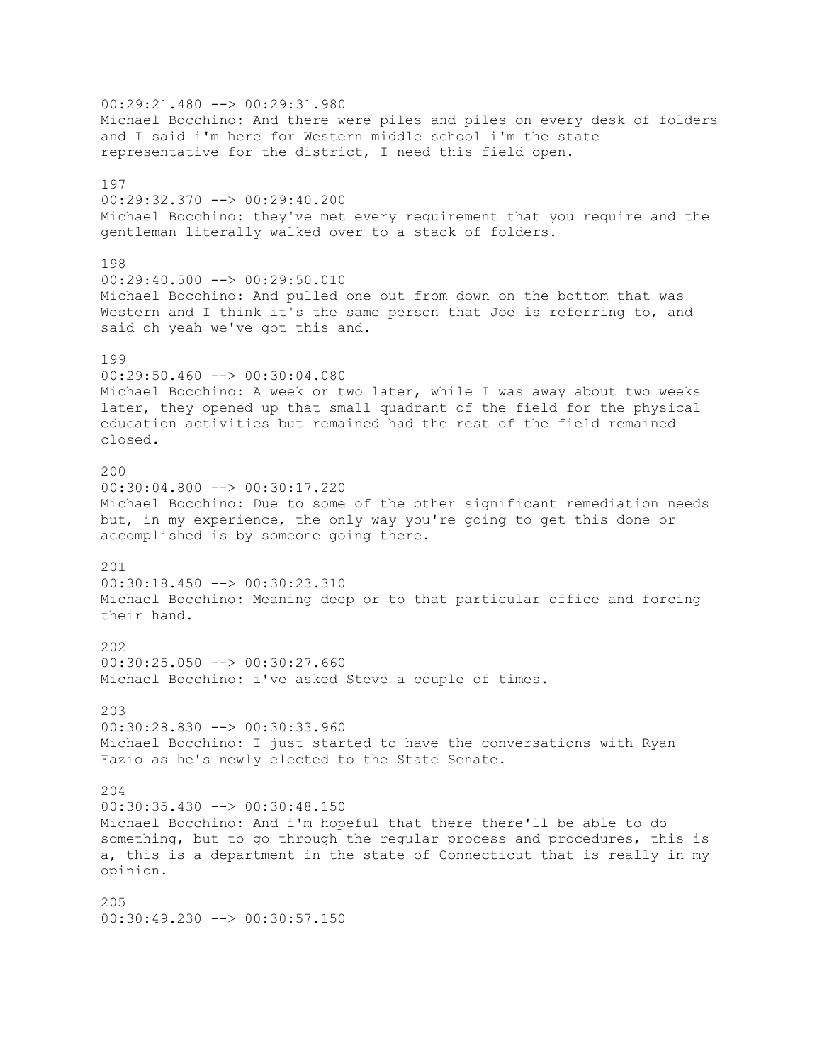00:29:21.480 --> 00:29:31.980 Michael Bocchino: And there were piles and piles on every desk of folders and I said i'm here for Western middle school i'm the state representative for the district, I need this field open. 197 00:29:32.370 --> 00:29:40.200 Michael Bocchino: they've met every requirement that you require and the gentleman literally walked over to a stack of folders. 198  $00:29:40.500$  -->  $00:29:50.010$ Michael Bocchino: And pulled one out from down on the bottom that was Western and I think it's the same person that Joe is referring to, and said oh yeah we've got this and. 199 00:29:50.460 --> 00:30:04.080 Michael Bocchino: A week or two later, while I was away about two weeks later, they opened up that small quadrant of the field for the physical education activities but remained had the rest of the field remained closed. 200 00:30:04.800 --> 00:30:17.220 Michael Bocchino: Due to some of the other significant remediation needs but, in my experience, the only way you're going to get this done or accomplished is by someone going there. 201 00:30:18.450 --> 00:30:23.310 Michael Bocchino: Meaning deep or to that particular office and forcing their hand. 202 00:30:25.050 --> 00:30:27.660 Michael Bocchino: i've asked Steve a couple of times. 203 00:30:28.830 --> 00:30:33.960 Michael Bocchino: I just started to have the conversations with Ryan Fazio as he's newly elected to the State Senate. 204 00:30:35.430 --> 00:30:48.150 Michael Bocchino: And i'm hopeful that there there'll be able to do something, but to go through the regular process and procedures, this is a, this is a department in the state of Connecticut that is really in my opinion. 205 00:30:49.230 --> 00:30:57.150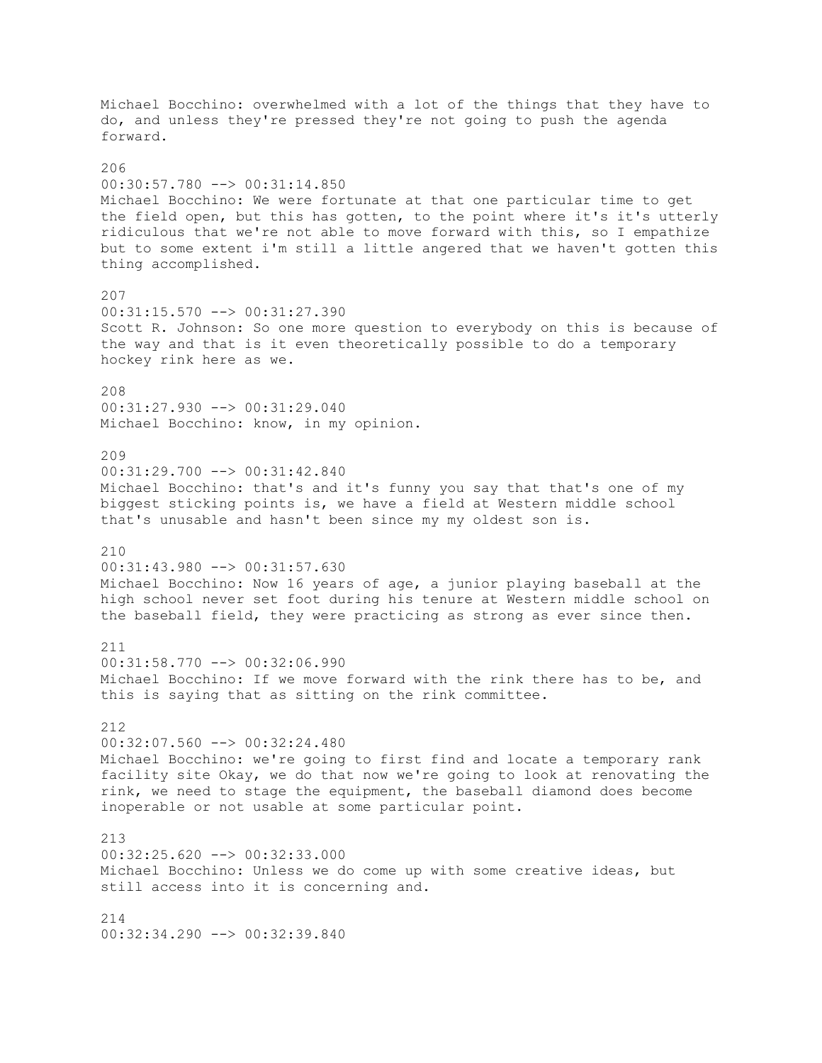Michael Bocchino: overwhelmed with a lot of the things that they have to do, and unless they're pressed they're not going to push the agenda forward. 206 00:30:57.780 --> 00:31:14.850 Michael Bocchino: We were fortunate at that one particular time to get the field open, but this has gotten, to the point where it's it's utterly ridiculous that we're not able to move forward with this, so I empathize but to some extent i'm still a little angered that we haven't gotten this thing accomplished. 207 00:31:15.570 --> 00:31:27.390 Scott R. Johnson: So one more question to everybody on this is because of the way and that is it even theoretically possible to do a temporary hockey rink here as we. 208 00:31:27.930 --> 00:31:29.040 Michael Bocchino: know, in my opinion. 209 00:31:29.700 --> 00:31:42.840 Michael Bocchino: that's and it's funny you say that that's one of my biggest sticking points is, we have a field at Western middle school that's unusable and hasn't been since my my oldest son is. 210 00:31:43.980 --> 00:31:57.630 Michael Bocchino: Now 16 years of age, a junior playing baseball at the high school never set foot during his tenure at Western middle school on the baseball field, they were practicing as strong as ever since then. 211 00:31:58.770 --> 00:32:06.990 Michael Bocchino: If we move forward with the rink there has to be, and this is saying that as sitting on the rink committee. 212 00:32:07.560 --> 00:32:24.480 Michael Bocchino: we're going to first find and locate a temporary rank facility site Okay, we do that now we're going to look at renovating the rink, we need to stage the equipment, the baseball diamond does become inoperable or not usable at some particular point. 213  $00:32:25.620$   $\rightarrow$   $00:32:33.000$ Michael Bocchino: Unless we do come up with some creative ideas, but still access into it is concerning and. 214 00:32:34.290 --> 00:32:39.840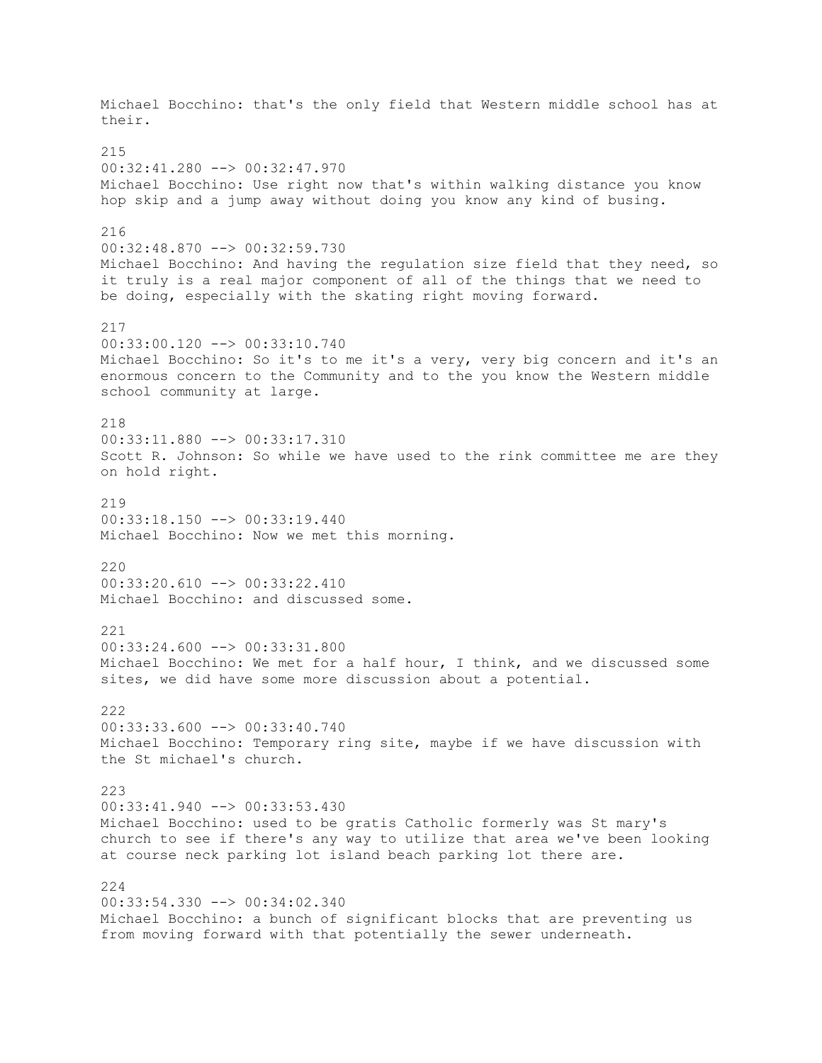Michael Bocchino: that's the only field that Western middle school has at their. 215 00:32:41.280 --> 00:32:47.970 Michael Bocchino: Use right now that's within walking distance you know hop skip and a jump away without doing you know any kind of busing. 216 00:32:48.870 --> 00:32:59.730 Michael Bocchino: And having the regulation size field that they need, so it truly is a real major component of all of the things that we need to be doing, especially with the skating right moving forward. 217 00:33:00.120 --> 00:33:10.740 Michael Bocchino: So it's to me it's a very, very big concern and it's an enormous concern to the Community and to the you know the Western middle school community at large. 218 00:33:11.880 --> 00:33:17.310 Scott R. Johnson: So while we have used to the rink committee me are they on hold right. 219 00:33:18.150 --> 00:33:19.440 Michael Bocchino: Now we met this morning. 220 00:33:20.610 --> 00:33:22.410 Michael Bocchino: and discussed some. 221 00:33:24.600 --> 00:33:31.800 Michael Bocchino: We met for a half hour, I think, and we discussed some sites, we did have some more discussion about a potential. 222 00:33:33.600 --> 00:33:40.740 Michael Bocchino: Temporary ring site, maybe if we have discussion with the St michael's church. 223 00:33:41.940 --> 00:33:53.430 Michael Bocchino: used to be gratis Catholic formerly was St mary's church to see if there's any way to utilize that area we've been looking at course neck parking lot island beach parking lot there are. 224 00:33:54.330 --> 00:34:02.340 Michael Bocchino: a bunch of significant blocks that are preventing us from moving forward with that potentially the sewer underneath.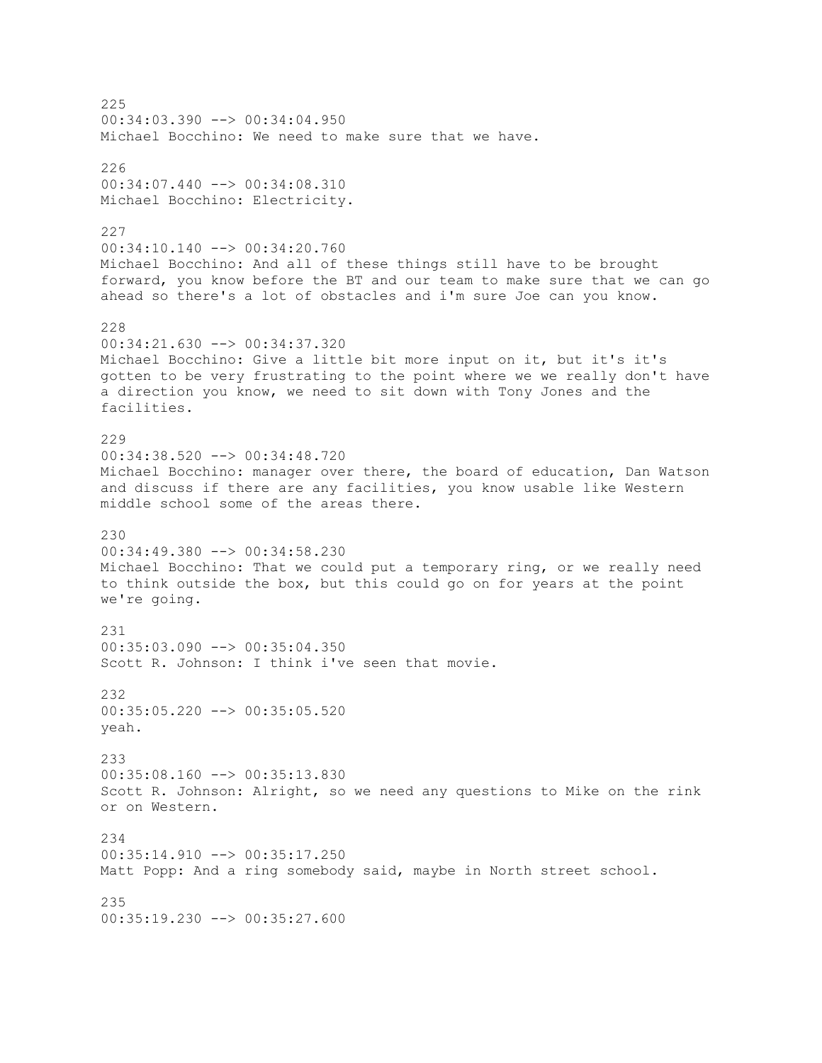225 00:34:03.390 --> 00:34:04.950 Michael Bocchino: We need to make sure that we have. 226 00:34:07.440 --> 00:34:08.310 Michael Bocchino: Electricity. 227 00:34:10.140 --> 00:34:20.760 Michael Bocchino: And all of these things still have to be brought forward, you know before the BT and our team to make sure that we can go ahead so there's a lot of obstacles and i'm sure Joe can you know. 228 00:34:21.630 --> 00:34:37.320 Michael Bocchino: Give a little bit more input on it, but it's it's gotten to be very frustrating to the point where we we really don't have a direction you know, we need to sit down with Tony Jones and the facilities. 229 00:34:38.520 --> 00:34:48.720 Michael Bocchino: manager over there, the board of education, Dan Watson and discuss if there are any facilities, you know usable like Western middle school some of the areas there. 230 00:34:49.380 --> 00:34:58.230 Michael Bocchino: That we could put a temporary ring, or we really need to think outside the box, but this could go on for years at the point we're going. 231 00:35:03.090 --> 00:35:04.350 Scott R. Johnson: I think i've seen that movie. 232 00:35:05.220 --> 00:35:05.520 yeah. 233 00:35:08.160 --> 00:35:13.830 Scott R. Johnson: Alright, so we need any questions to Mike on the rink or on Western. 234 00:35:14.910 --> 00:35:17.250 Matt Popp: And a ring somebody said, maybe in North street school. 235 00:35:19.230 --> 00:35:27.600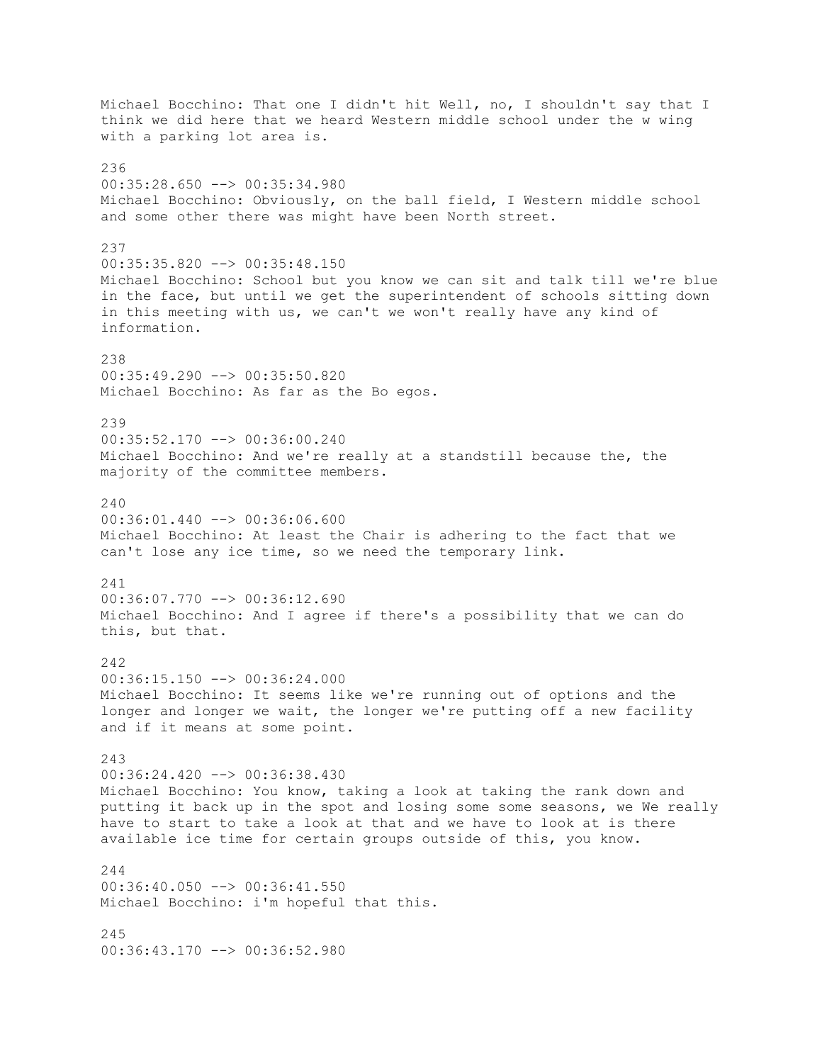Michael Bocchino: That one I didn't hit Well, no, I shouldn't say that I think we did here that we heard Western middle school under the w wing with a parking lot area is. 236 00:35:28.650 --> 00:35:34.980 Michael Bocchino: Obviously, on the ball field, I Western middle school and some other there was might have been North street. 237 00:35:35.820 --> 00:35:48.150 Michael Bocchino: School but you know we can sit and talk till we're blue in the face, but until we get the superintendent of schools sitting down in this meeting with us, we can't we won't really have any kind of information. 238 00:35:49.290 --> 00:35:50.820 Michael Bocchino: As far as the Bo egos. 239 00:35:52.170 --> 00:36:00.240 Michael Bocchino: And we're really at a standstill because the, the majority of the committee members.  $240$  $00:36:01.440$  -->  $00:36:06.600$ Michael Bocchino: At least the Chair is adhering to the fact that we can't lose any ice time, so we need the temporary link. 241 00:36:07.770 --> 00:36:12.690 Michael Bocchino: And I agree if there's a possibility that we can do this, but that. 242 00:36:15.150 --> 00:36:24.000 Michael Bocchino: It seems like we're running out of options and the longer and longer we wait, the longer we're putting off a new facility and if it means at some point. 243 00:36:24.420 --> 00:36:38.430 Michael Bocchino: You know, taking a look at taking the rank down and putting it back up in the spot and losing some some seasons, we We really have to start to take a look at that and we have to look at is there available ice time for certain groups outside of this, you know.  $244$ 00:36:40.050 --> 00:36:41.550 Michael Bocchino: i'm hopeful that this. 245 00:36:43.170 --> 00:36:52.980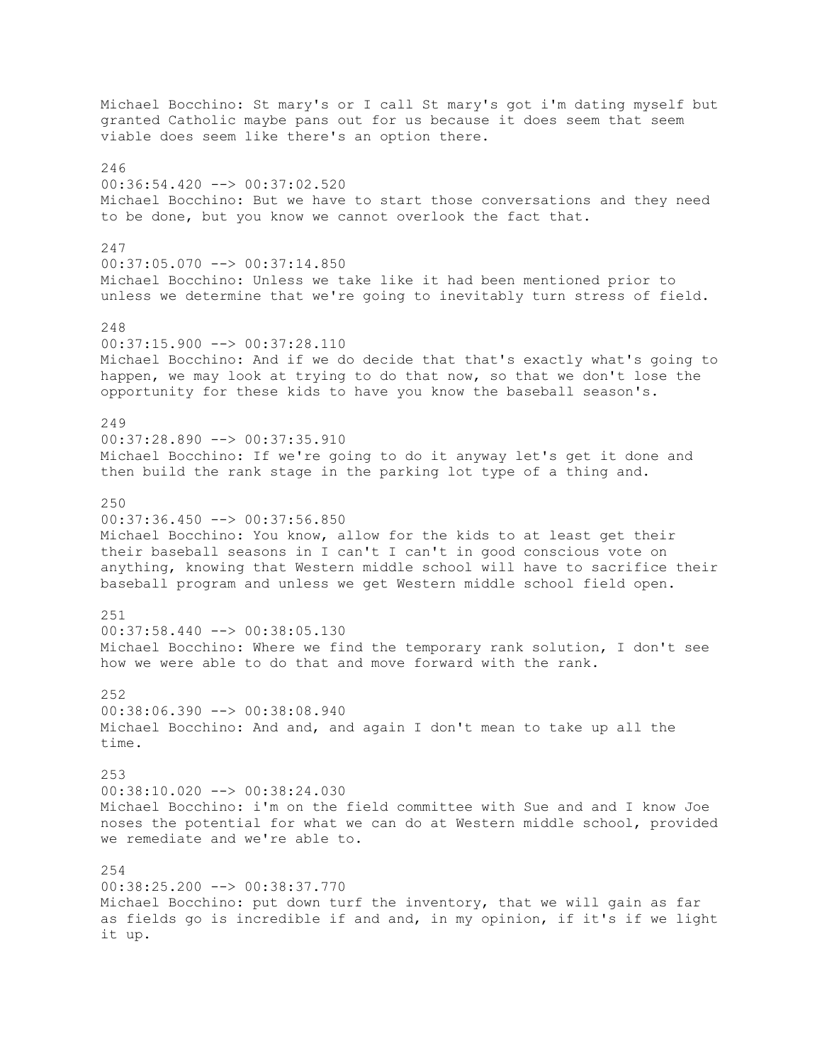Michael Bocchino: St mary's or I call St mary's got i'm dating myself but granted Catholic maybe pans out for us because it does seem that seem viable does seem like there's an option there. 246 00:36:54.420 --> 00:37:02.520 Michael Bocchino: But we have to start those conversations and they need to be done, but you know we cannot overlook the fact that. 247 00:37:05.070 --> 00:37:14.850 Michael Bocchino: Unless we take like it had been mentioned prior to unless we determine that we're going to inevitably turn stress of field. 248 00:37:15.900 --> 00:37:28.110 Michael Bocchino: And if we do decide that that's exactly what's going to happen, we may look at trying to do that now, so that we don't lose the opportunity for these kids to have you know the baseball season's. 249 00:37:28.890 --> 00:37:35.910 Michael Bocchino: If we're going to do it anyway let's get it done and then build the rank stage in the parking lot type of a thing and. 250  $00:37:36.450$  -->  $00:37:56.850$ Michael Bocchino: You know, allow for the kids to at least get their their baseball seasons in I can't I can't in good conscious vote on anything, knowing that Western middle school will have to sacrifice their baseball program and unless we get Western middle school field open. 251  $00:37:58.440$   $\rightarrow$   $00:38:05.130$ Michael Bocchino: Where we find the temporary rank solution, I don't see how we were able to do that and move forward with the rank. 252 00:38:06.390 --> 00:38:08.940 Michael Bocchino: And and, and again I don't mean to take up all the time. 253 00:38:10.020 --> 00:38:24.030 Michael Bocchino: i'm on the field committee with Sue and and I know Joe noses the potential for what we can do at Western middle school, provided we remediate and we're able to.  $254$ 00:38:25.200 --> 00:38:37.770 Michael Bocchino: put down turf the inventory, that we will gain as far as fields go is incredible if and and, in my opinion, if it's if we light it up.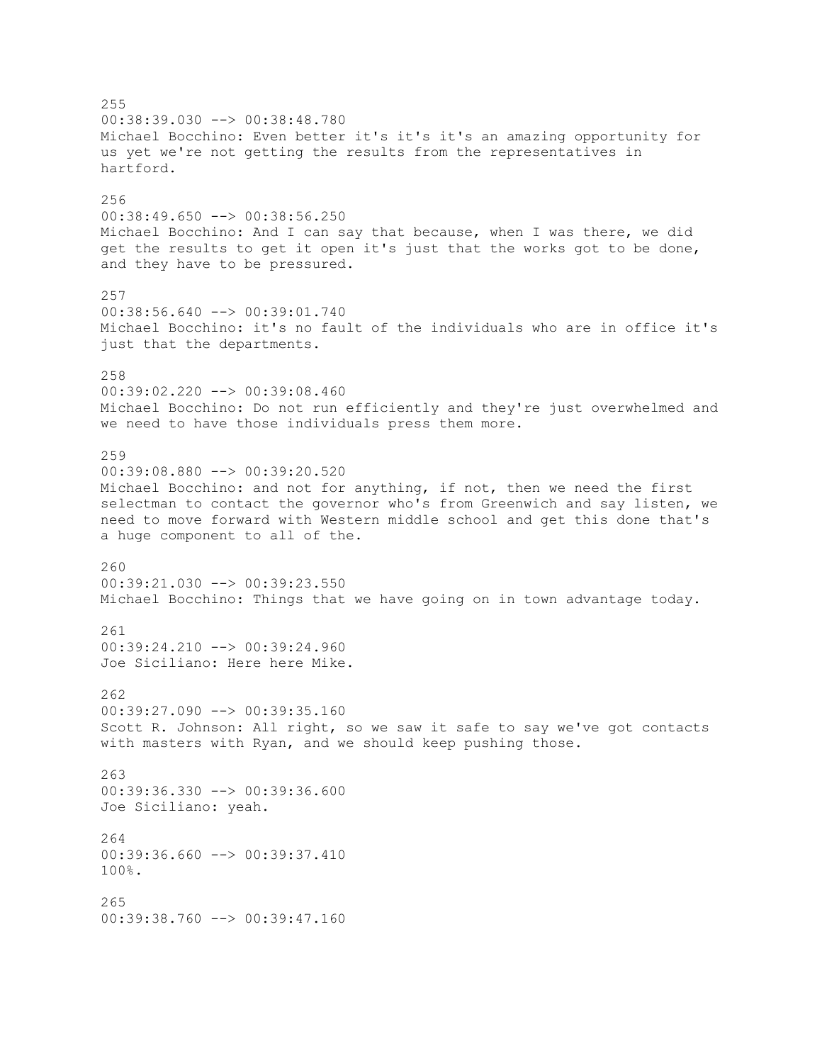255 00:38:39.030 --> 00:38:48.780 Michael Bocchino: Even better it's it's it's an amazing opportunity for us yet we're not getting the results from the representatives in hartford. 256 00:38:49.650 --> 00:38:56.250 Michael Bocchino: And I can say that because, when I was there, we did get the results to get it open it's just that the works got to be done, and they have to be pressured. 257 00:38:56.640 --> 00:39:01.740 Michael Bocchino: it's no fault of the individuals who are in office it's just that the departments. 258 00:39:02.220 --> 00:39:08.460 Michael Bocchino: Do not run efficiently and they're just overwhelmed and we need to have those individuals press them more. 259 00:39:08.880 --> 00:39:20.520 Michael Bocchino: and not for anything, if not, then we need the first selectman to contact the governor who's from Greenwich and say listen, we need to move forward with Western middle school and get this done that's a huge component to all of the. 260 00:39:21.030 --> 00:39:23.550 Michael Bocchino: Things that we have going on in town advantage today. 261 00:39:24.210 --> 00:39:24.960 Joe Siciliano: Here here Mike. 262 00:39:27.090 --> 00:39:35.160 Scott R. Johnson: All right, so we saw it safe to say we've got contacts with masters with Ryan, and we should keep pushing those. 263 00:39:36.330 --> 00:39:36.600 Joe Siciliano: yeah. 264  $00:39:36.660$   $\longrightarrow$   $00:39:37.410$ 100%. 265 00:39:38.760 --> 00:39:47.160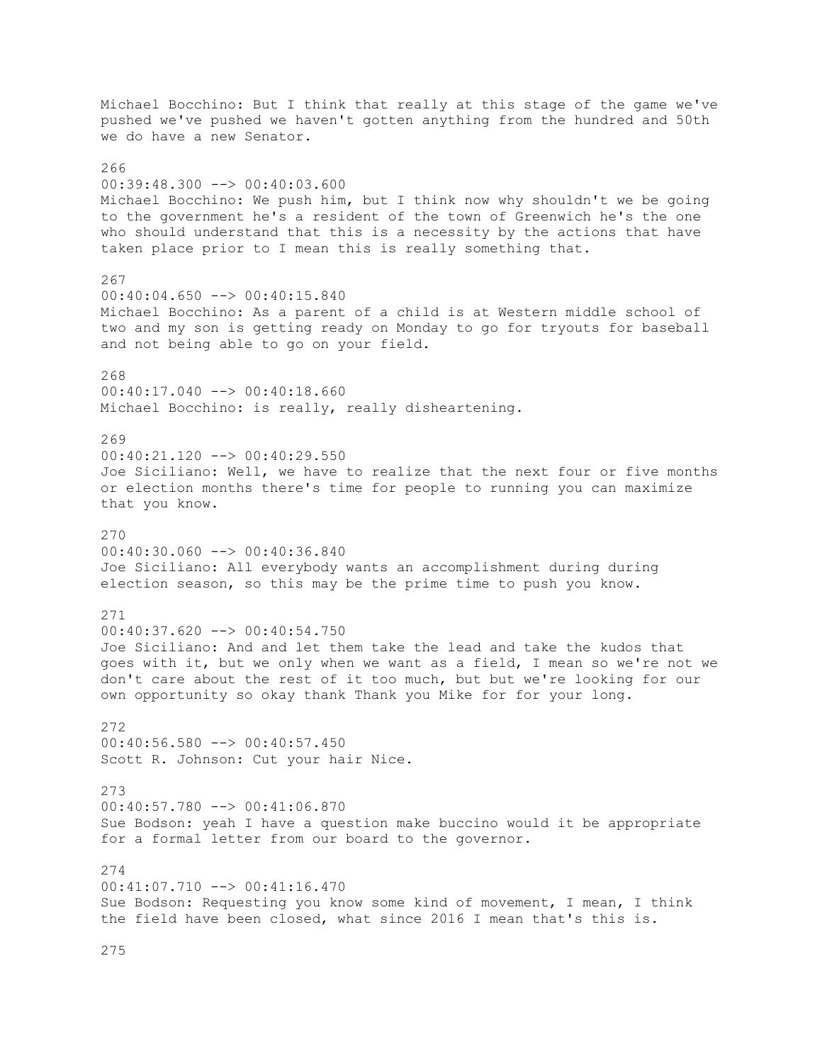Michael Bocchino: But I think that really at this stage of the game we've pushed we've pushed we haven't gotten anything from the hundred and 50th we do have a new Senator. 266 00:39:48.300 --> 00:40:03.600 Michael Bocchino: We push him, but I think now why shouldn't we be going to the government he's a resident of the town of Greenwich he's the one who should understand that this is a necessity by the actions that have taken place prior to I mean this is really something that. 267 00:40:04.650 --> 00:40:15.840 Michael Bocchino: As a parent of a child is at Western middle school of two and my son is getting ready on Monday to go for tryouts for baseball and not being able to go on your field. 268 00:40:17.040 --> 00:40:18.660 Michael Bocchino: is really, really disheartening. 269 00:40:21.120 --> 00:40:29.550 Joe Siciliano: Well, we have to realize that the next four or five months or election months there's time for people to running you can maximize that you know. 270 00:40:30.060 --> 00:40:36.840 Joe Siciliano: All everybody wants an accomplishment during during election season, so this may be the prime time to push you know. 271  $00:40:37.620$  -->  $00:40:54.750$ Joe Siciliano: And and let them take the lead and take the kudos that goes with it, but we only when we want as a field, I mean so we're not we don't care about the rest of it too much, but but we're looking for our own opportunity so okay thank Thank you Mike for for your long. 272 00:40:56.580 --> 00:40:57.450 Scott R. Johnson: Cut your hair Nice. 273 00:40:57.780 --> 00:41:06.870 Sue Bodson: yeah I have a question make buccino would it be appropriate for a formal letter from our board to the governor.  $274$ 00:41:07.710 --> 00:41:16.470 Sue Bodson: Requesting you know some kind of movement, I mean, I think the field have been closed, what since 2016 I mean that's this is.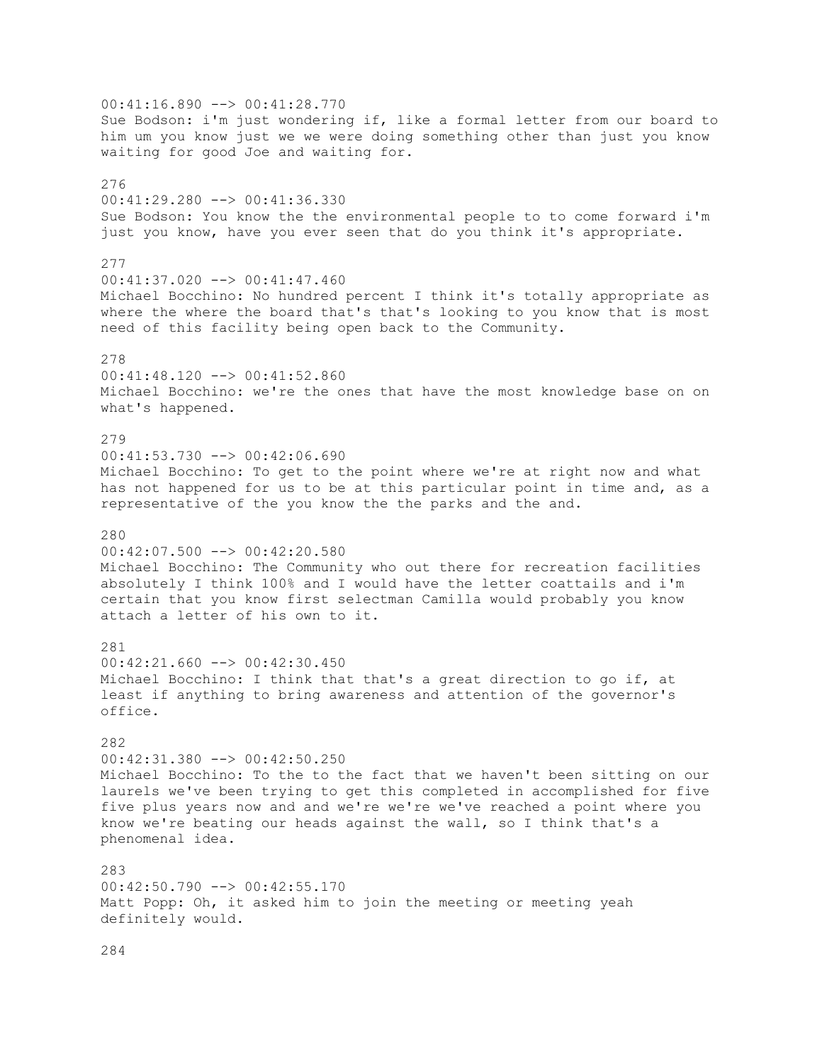00:41:16.890 --> 00:41:28.770 Sue Bodson: i'm just wondering if, like a formal letter from our board to him um you know just we we were doing something other than just you know waiting for good Joe and waiting for. 276 00:41:29.280 --> 00:41:36.330 Sue Bodson: You know the the environmental people to to come forward i'm just you know, have you ever seen that do you think it's appropriate. 277 00:41:37.020 --> 00:41:47.460 Michael Bocchino: No hundred percent I think it's totally appropriate as where the where the board that's that's looking to you know that is most need of this facility being open back to the Community. 278 00:41:48.120 --> 00:41:52.860 Michael Bocchino: we're the ones that have the most knowledge base on on what's happened. 279 00:41:53.730 --> 00:42:06.690 Michael Bocchino: To get to the point where we're at right now and what has not happened for us to be at this particular point in time and, as a representative of the you know the the parks and the and. 280 00:42:07.500 --> 00:42:20.580 Michael Bocchino: The Community who out there for recreation facilities absolutely I think 100% and I would have the letter coattails and i'm certain that you know first selectman Camilla would probably you know attach a letter of his own to it. 281  $00:42:21.660$  -->  $00:42:30.450$ Michael Bocchino: I think that that's a great direction to go if, at least if anything to bring awareness and attention of the governor's office. 282 00:42:31.380 --> 00:42:50.250 Michael Bocchino: To the to the fact that we haven't been sitting on our laurels we've been trying to get this completed in accomplished for five five plus years now and and we're we're we've reached a point where you know we're beating our heads against the wall, so I think that's a phenomenal idea. 283 00:42:50.790 --> 00:42:55.170 Matt Popp: Oh, it asked him to join the meeting or meeting yeah definitely would.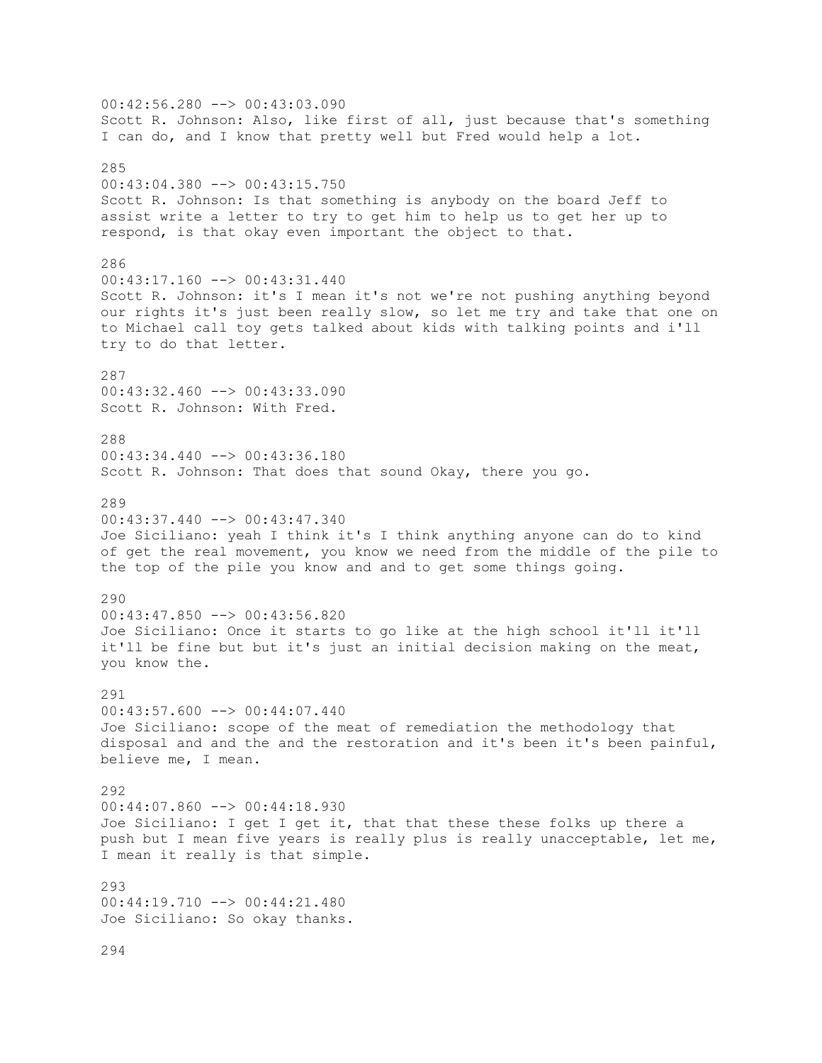$00:42:56.280$  -->  $00:43:03.090$ Scott R. Johnson: Also, like first of all, just because that's something I can do, and I know that pretty well but Fred would help a lot. 285 00:43:04.380 --> 00:43:15.750 Scott R. Johnson: Is that something is anybody on the board Jeff to assist write a letter to try to get him to help us to get her up to respond, is that okay even important the object to that. 286 00:43:17.160 --> 00:43:31.440 Scott R. Johnson: it's I mean it's not we're not pushing anything beyond our rights it's just been really slow, so let me try and take that one on to Michael call toy gets talked about kids with talking points and i'll try to do that letter. 287 00:43:32.460 --> 00:43:33.090 Scott R. Johnson: With Fred. 288 00:43:34.440 --> 00:43:36.180 Scott R. Johnson: That does that sound Okay, there you go. 289  $00:43:37.440$  -->  $00:43:47.340$ Joe Siciliano: yeah I think it's I think anything anyone can do to kind of get the real movement, you know we need from the middle of the pile to the top of the pile you know and and to get some things going. 290 00:43:47.850 --> 00:43:56.820 Joe Siciliano: Once it starts to go like at the high school it'll it'll it'll be fine but but it's just an initial decision making on the meat, you know the. 291 00:43:57.600 --> 00:44:07.440 Joe Siciliano: scope of the meat of remediation the methodology that disposal and and the and the restoration and it's been it's been painful, believe me, I mean. 292 00:44:07.860 --> 00:44:18.930 Joe Siciliano: I get I get it, that that these these folks up there a push but I mean five years is really plus is really unacceptable, let me, I mean it really is that simple. 293 00:44:19.710 --> 00:44:21.480 Joe Siciliano: So okay thanks. 294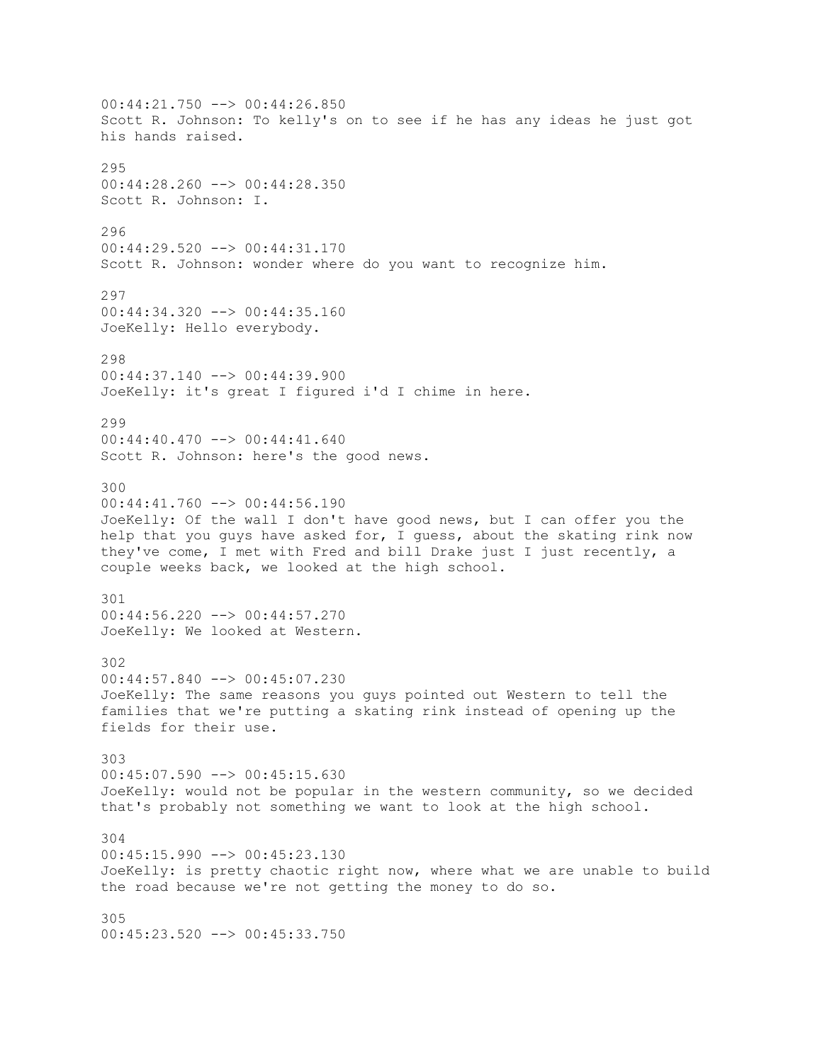00:44:21.750 --> 00:44:26.850 Scott R. Johnson: To kelly's on to see if he has any ideas he just got his hands raised.  $295$ 00:44:28.260 --> 00:44:28.350 Scott R. Johnson: I. 296 00:44:29.520 --> 00:44:31.170 Scott R. Johnson: wonder where do you want to recognize him. 297 00:44:34.320 --> 00:44:35.160 JoeKelly: Hello everybody. 298 00:44:37.140 --> 00:44:39.900 JoeKelly: it's great I figured i'd I chime in here. 299 00:44:40.470 --> 00:44:41.640 Scott R. Johnson: here's the good news. 300  $00:44:41.760$  -->  $00:44:56.190$ JoeKelly: Of the wall I don't have good news, but I can offer you the help that you guys have asked for, I guess, about the skating rink now they've come, I met with Fred and bill Drake just I just recently, a couple weeks back, we looked at the high school. 301 00:44:56.220 --> 00:44:57.270 JoeKelly: We looked at Western. 302 00:44:57.840 --> 00:45:07.230 JoeKelly: The same reasons you guys pointed out Western to tell the families that we're putting a skating rink instead of opening up the fields for their use. 303 00:45:07.590 --> 00:45:15.630 JoeKelly: would not be popular in the western community, so we decided that's probably not something we want to look at the high school. 304 00:45:15.990 --> 00:45:23.130 JoeKelly: is pretty chaotic right now, where what we are unable to build the road because we're not getting the money to do so. 305 00:45:23.520 --> 00:45:33.750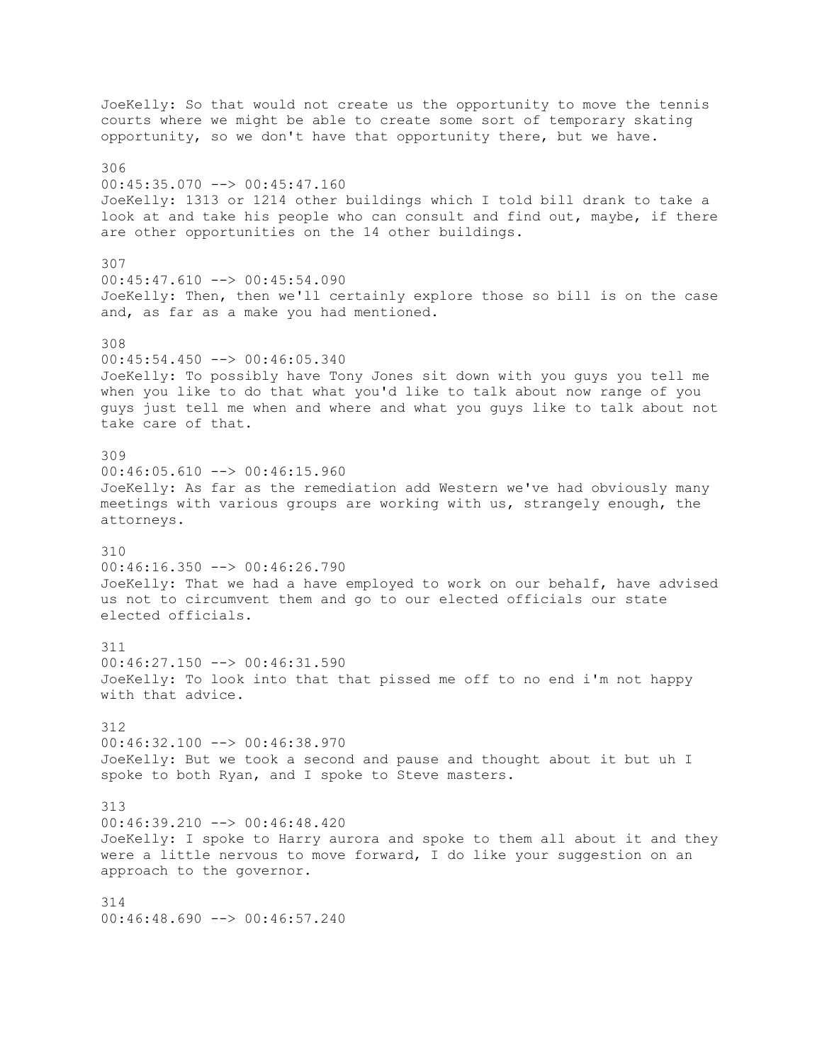JoeKelly: So that would not create us the opportunity to move the tennis courts where we might be able to create some sort of temporary skating opportunity, so we don't have that opportunity there, but we have. 306  $00:45:35.070$  -->  $00:45:47.160$ JoeKelly: 1313 or 1214 other buildings which I told bill drank to take a look at and take his people who can consult and find out, maybe, if there are other opportunities on the 14 other buildings. 307  $00:45:47.610$  -->  $00:45:54.090$ JoeKelly: Then, then we'll certainly explore those so bill is on the case and, as far as a make you had mentioned. 308 00:45:54.450 --> 00:46:05.340 JoeKelly: To possibly have Tony Jones sit down with you guys you tell me when you like to do that what you'd like to talk about now range of you guys just tell me when and where and what you guys like to talk about not take care of that. 309  $00:46:05.610$  -->  $00:46:15.960$ JoeKelly: As far as the remediation add Western we've had obviously many meetings with various groups are working with us, strangely enough, the attorneys. 310 00:46:16.350 --> 00:46:26.790 JoeKelly: That we had a have employed to work on our behalf, have advised us not to circumvent them and go to our elected officials our state elected officials. 311 00:46:27.150 --> 00:46:31.590 JoeKelly: To look into that that pissed me off to no end i'm not happy with that advice. 312 00:46:32.100 --> 00:46:38.970 JoeKelly: But we took a second and pause and thought about it but uh I spoke to both Ryan, and I spoke to Steve masters. 313 00:46:39.210 --> 00:46:48.420 JoeKelly: I spoke to Harry aurora and spoke to them all about it and they were a little nervous to move forward, I do like your suggestion on an approach to the governor. 314 00:46:48.690 --> 00:46:57.240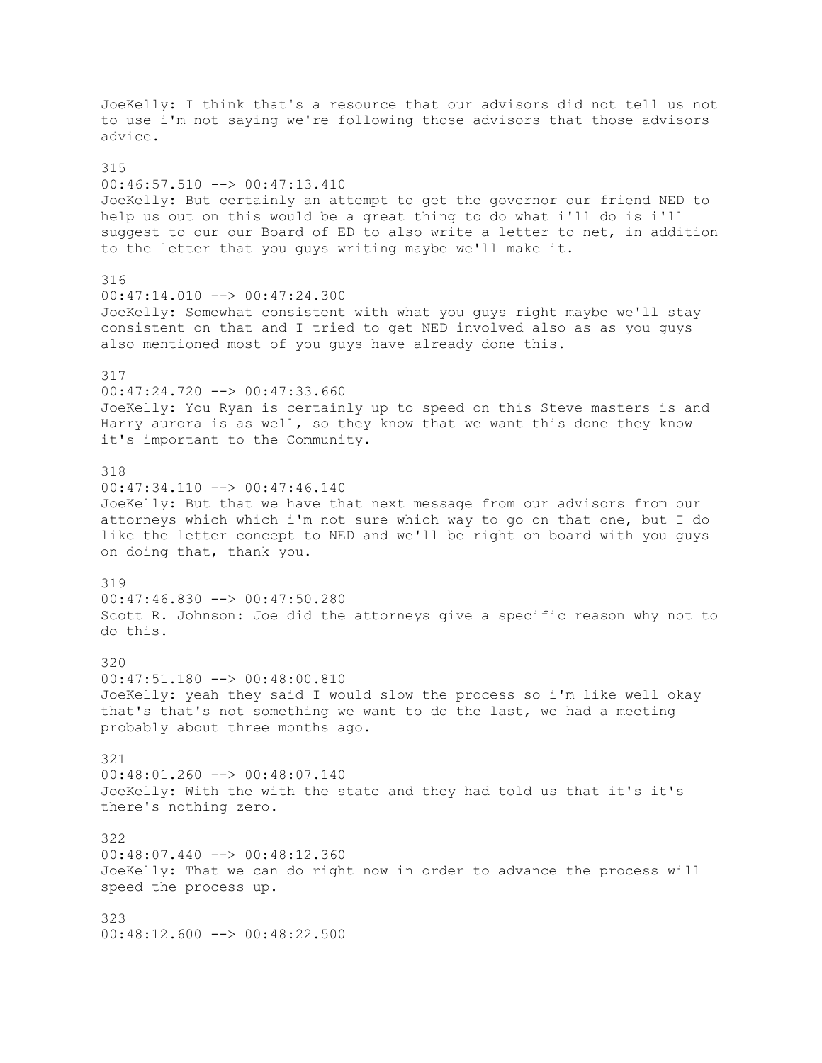JoeKelly: I think that's a resource that our advisors did not tell us not to use i'm not saying we're following those advisors that those advisors advice. 315 00:46:57.510 --> 00:47:13.410 JoeKelly: But certainly an attempt to get the governor our friend NED to help us out on this would be a great thing to do what i'll do is i'll suggest to our our Board of ED to also write a letter to net, in addition to the letter that you guys writing maybe we'll make it. 316 00:47:14.010 --> 00:47:24.300 JoeKelly: Somewhat consistent with what you guys right maybe we'll stay consistent on that and I tried to get NED involved also as as you guys also mentioned most of you guys have already done this. 317 00:47:24.720 --> 00:47:33.660 JoeKelly: You Ryan is certainly up to speed on this Steve masters is and Harry aurora is as well, so they know that we want this done they know it's important to the Community. 318 00:47:34.110 --> 00:47:46.140 JoeKelly: But that we have that next message from our advisors from our attorneys which which i'm not sure which way to go on that one, but I do like the letter concept to NED and we'll be right on board with you guys on doing that, thank you. 319 00:47:46.830 --> 00:47:50.280 Scott R. Johnson: Joe did the attorneys give a specific reason why not to do this. 320 00:47:51.180 --> 00:48:00.810 JoeKelly: yeah they said I would slow the process so i'm like well okay that's that's not something we want to do the last, we had a meeting probably about three months ago. 321 00:48:01.260 --> 00:48:07.140 JoeKelly: With the with the state and they had told us that it's it's there's nothing zero. 322 00:48:07.440 --> 00:48:12.360 JoeKelly: That we can do right now in order to advance the process will speed the process up. 323 00:48:12.600 --> 00:48:22.500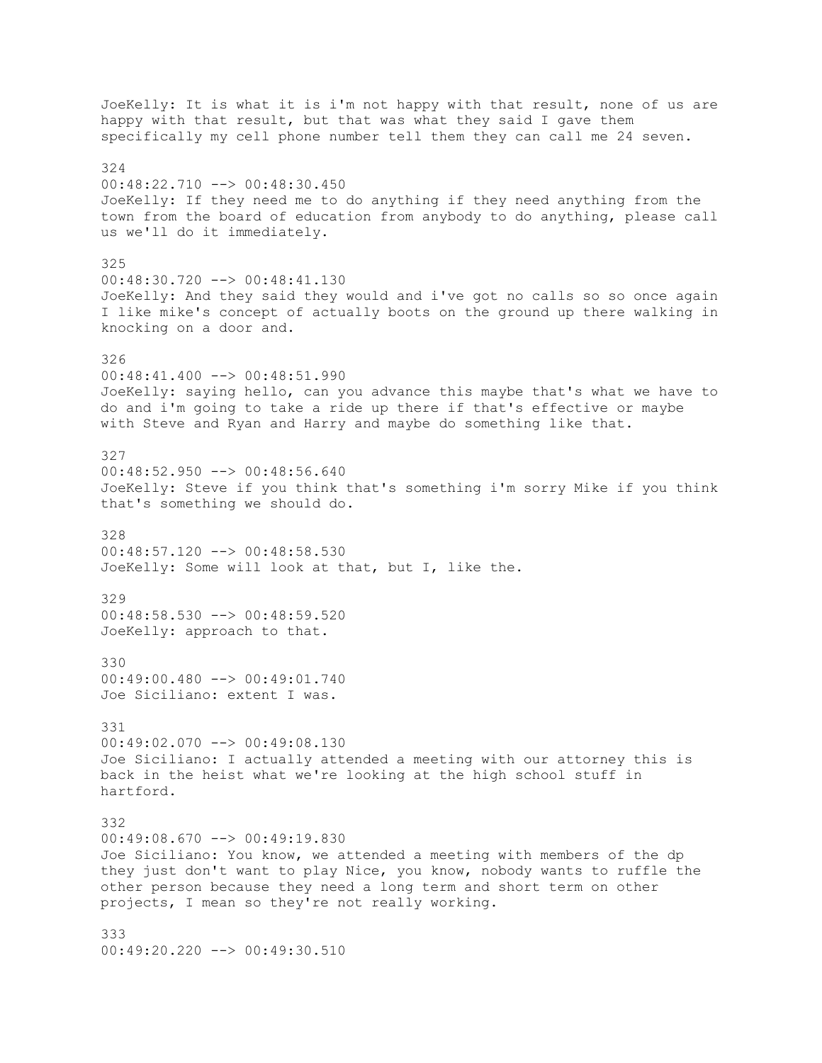JoeKelly: It is what it is i'm not happy with that result, none of us are happy with that result, but that was what they said I gave them specifically my cell phone number tell them they can call me 24 seven. 324 00:48:22.710 --> 00:48:30.450 JoeKelly: If they need me to do anything if they need anything from the town from the board of education from anybody to do anything, please call us we'll do it immediately. 325 00:48:30.720 --> 00:48:41.130 JoeKelly: And they said they would and i've got no calls so so once again I like mike's concept of actually boots on the ground up there walking in knocking on a door and. 326 00:48:41.400 --> 00:48:51.990 JoeKelly: saying hello, can you advance this maybe that's what we have to do and i'm going to take a ride up there if that's effective or maybe with Steve and Ryan and Harry and maybe do something like that. 327 00:48:52.950 --> 00:48:56.640 JoeKelly: Steve if you think that's something i'm sorry Mike if you think that's something we should do. 328 00:48:57.120 --> 00:48:58.530 JoeKelly: Some will look at that, but I, like the. 329 00:48:58.530 --> 00:48:59.520 JoeKelly: approach to that. 330 00:49:00.480 --> 00:49:01.740 Joe Siciliano: extent I was. 331 00:49:02.070 --> 00:49:08.130 Joe Siciliano: I actually attended a meeting with our attorney this is back in the heist what we're looking at the high school stuff in hartford. 332 00:49:08.670 --> 00:49:19.830 Joe Siciliano: You know, we attended a meeting with members of the dp they just don't want to play Nice, you know, nobody wants to ruffle the other person because they need a long term and short term on other projects, I mean so they're not really working. 333 00:49:20.220 --> 00:49:30.510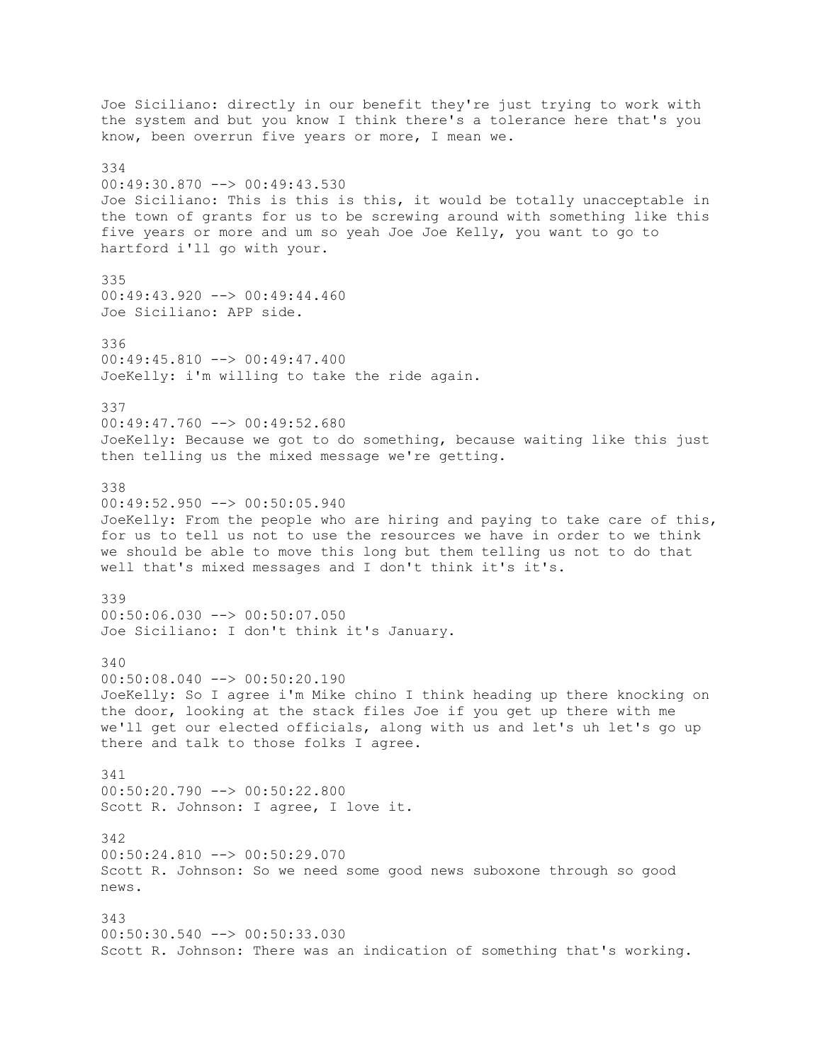Joe Siciliano: directly in our benefit they're just trying to work with the system and but you know I think there's a tolerance here that's you know, been overrun five years or more, I mean we. 334 00:49:30.870 --> 00:49:43.530 Joe Siciliano: This is this is this, it would be totally unacceptable in the town of grants for us to be screwing around with something like this five years or more and um so yeah Joe Joe Kelly, you want to go to hartford i'll go with your. 335 00:49:43.920 --> 00:49:44.460 Joe Siciliano: APP side. 336 00:49:45.810 --> 00:49:47.400 JoeKelly: i'm willing to take the ride again. 337 00:49:47.760 --> 00:49:52.680 JoeKelly: Because we got to do something, because waiting like this just then telling us the mixed message we're getting. 338 00:49:52.950 --> 00:50:05.940 JoeKelly: From the people who are hiring and paying to take care of this, for us to tell us not to use the resources we have in order to we think we should be able to move this long but them telling us not to do that well that's mixed messages and I don't think it's it's. 339  $00:50:06.030$  -->  $00:50:07.050$ Joe Siciliano: I don't think it's January. 340 00:50:08.040 --> 00:50:20.190 JoeKelly: So I agree i'm Mike chino I think heading up there knocking on the door, looking at the stack files Joe if you get up there with me we'll get our elected officials, along with us and let's uh let's go up there and talk to those folks I agree. 341 00:50:20.790 --> 00:50:22.800 Scott R. Johnson: I agree, I love it. 342  $00:50:24.810$   $\rightarrow$   $00:50:29.070$ Scott R. Johnson: So we need some good news suboxone through so good news. 343 00:50:30.540 --> 00:50:33.030 Scott R. Johnson: There was an indication of something that's working.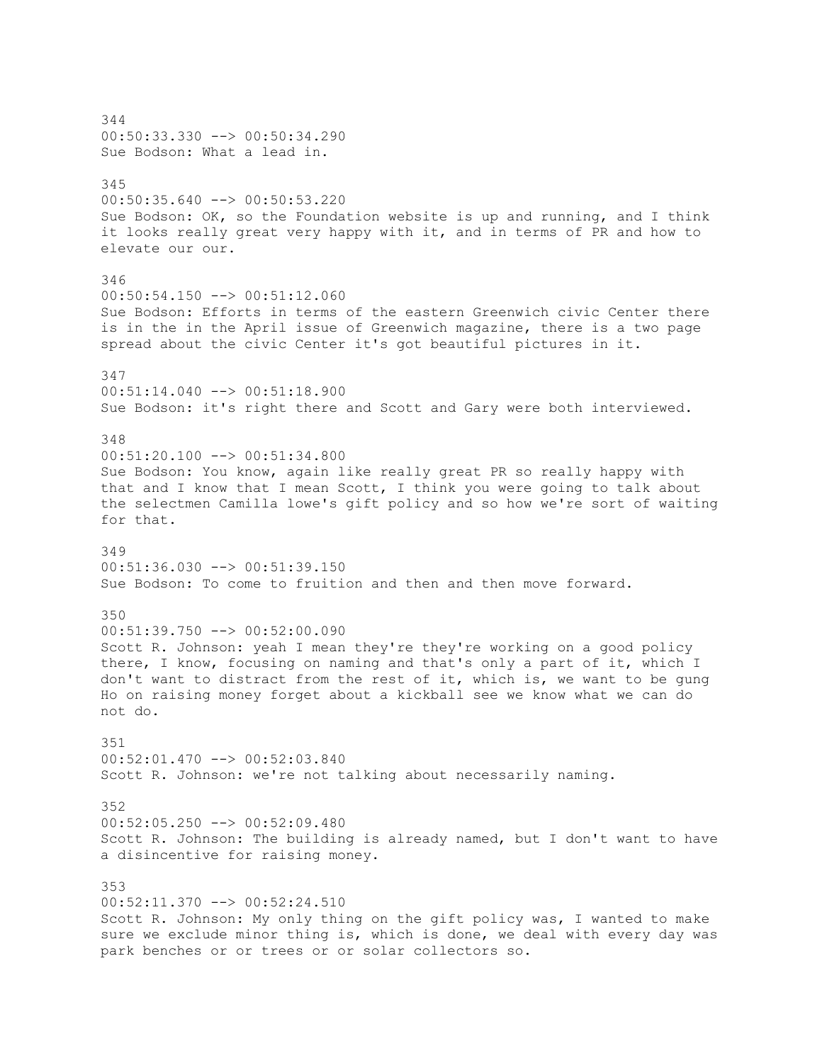344 00:50:33.330 --> 00:50:34.290 Sue Bodson: What a lead in. 345 00:50:35.640 --> 00:50:53.220 Sue Bodson: OK, so the Foundation website is up and running, and I think it looks really great very happy with it, and in terms of PR and how to elevate our our. 346 00:50:54.150 --> 00:51:12.060 Sue Bodson: Efforts in terms of the eastern Greenwich civic Center there is in the in the April issue of Greenwich magazine, there is a two page spread about the civic Center it's got beautiful pictures in it. 347 00:51:14.040 --> 00:51:18.900 Sue Bodson: it's right there and Scott and Gary were both interviewed. 348 00:51:20.100 --> 00:51:34.800 Sue Bodson: You know, again like really great PR so really happy with that and I know that I mean Scott, I think you were going to talk about the selectmen Camilla lowe's gift policy and so how we're sort of waiting for that. 349 00:51:36.030 --> 00:51:39.150 Sue Bodson: To come to fruition and then and then move forward. 350  $00:51:39.750$   $\rightarrow$   $00:52:00.090$ Scott R. Johnson: yeah I mean they're they're working on a good policy there, I know, focusing on naming and that's only a part of it, which I don't want to distract from the rest of it, which is, we want to be gung Ho on raising money forget about a kickball see we know what we can do not do. 351 00:52:01.470 --> 00:52:03.840 Scott R. Johnson: we're not talking about necessarily naming. 352 00:52:05.250 --> 00:52:09.480 Scott R. Johnson: The building is already named, but I don't want to have a disincentive for raising money. 353 00:52:11.370 --> 00:52:24.510 Scott R. Johnson: My only thing on the gift policy was, I wanted to make sure we exclude minor thing is, which is done, we deal with every day was park benches or or trees or or solar collectors so.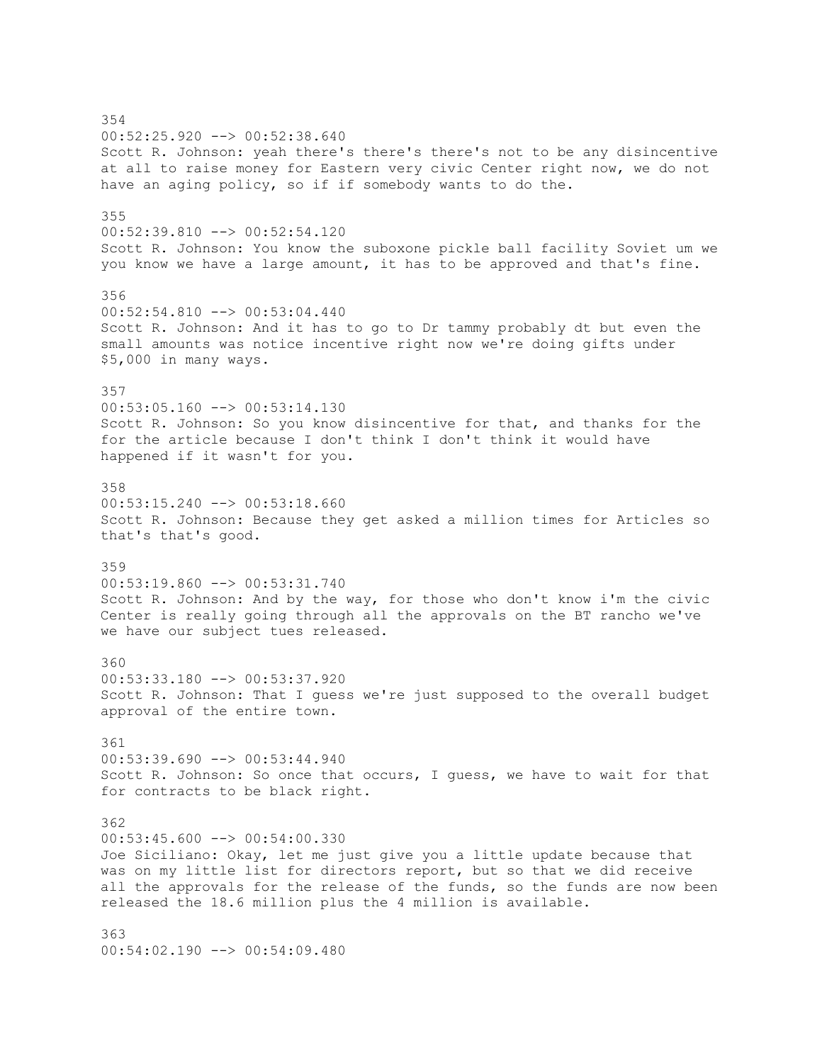354 00:52:25.920 --> 00:52:38.640 Scott R. Johnson: yeah there's there's there's not to be any disincentive at all to raise money for Eastern very civic Center right now, we do not have an aging policy, so if if somebody wants to do the. 355 00:52:39.810 --> 00:52:54.120 Scott R. Johnson: You know the suboxone pickle ball facility Soviet um we you know we have a large amount, it has to be approved and that's fine. 356 00:52:54.810 --> 00:53:04.440 Scott R. Johnson: And it has to go to Dr tammy probably dt but even the small amounts was notice incentive right now we're doing gifts under \$5,000 in many ways. 357  $00:53:05.160$  -->  $00:53:14.130$ Scott R. Johnson: So you know disincentive for that, and thanks for the for the article because I don't think I don't think it would have happened if it wasn't for you. 358 00:53:15.240 --> 00:53:18.660 Scott R. Johnson: Because they get asked a million times for Articles so that's that's good. 359 00:53:19.860 --> 00:53:31.740 Scott R. Johnson: And by the way, for those who don't know i'm the civic Center is really going through all the approvals on the BT rancho we've we have our subject tues released. 360 00:53:33.180 --> 00:53:37.920 Scott R. Johnson: That I guess we're just supposed to the overall budget approval of the entire town. 361 00:53:39.690 --> 00:53:44.940 Scott R. Johnson: So once that occurs, I guess, we have to wait for that for contracts to be black right. 362  $00:53:45.600$  -->  $00:54:00.330$ Joe Siciliano: Okay, let me just give you a little update because that was on my little list for directors report, but so that we did receive all the approvals for the release of the funds, so the funds are now been released the 18.6 million plus the 4 million is available. 363  $00:54:02.190$   $\rightarrow$  00:54:09.480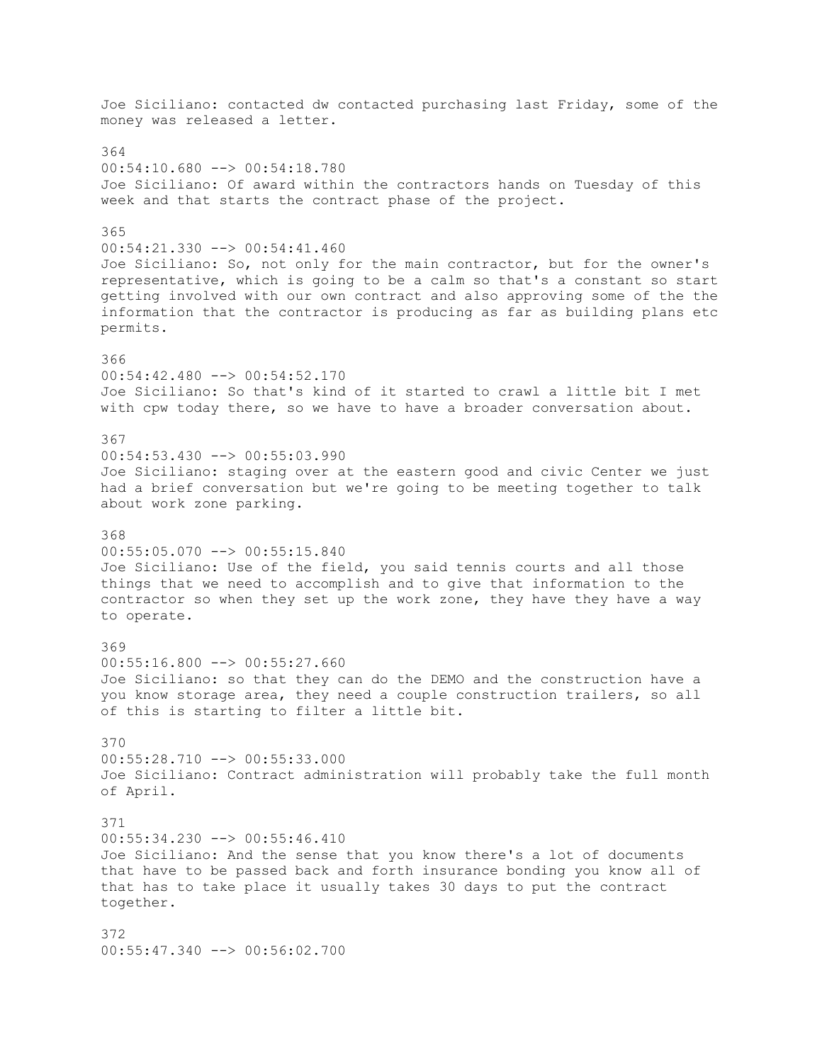Joe Siciliano: contacted dw contacted purchasing last Friday, some of the money was released a letter. 364 00:54:10.680 --> 00:54:18.780 Joe Siciliano: Of award within the contractors hands on Tuesday of this week and that starts the contract phase of the project. 365 00:54:21.330 --> 00:54:41.460 Joe Siciliano: So, not only for the main contractor, but for the owner's representative, which is going to be a calm so that's a constant so start getting involved with our own contract and also approving some of the the information that the contractor is producing as far as building plans etc permits. 366 00:54:42.480 --> 00:54:52.170 Joe Siciliano: So that's kind of it started to crawl a little bit I met with cpw today there, so we have to have a broader conversation about. 367 00:54:53.430 --> 00:55:03.990 Joe Siciliano: staging over at the eastern good and civic Center we just had a brief conversation but we're going to be meeting together to talk about work zone parking. 368 00:55:05.070 --> 00:55:15.840 Joe Siciliano: Use of the field, you said tennis courts and all those things that we need to accomplish and to give that information to the contractor so when they set up the work zone, they have they have a way to operate. 369 00:55:16.800 --> 00:55:27.660 Joe Siciliano: so that they can do the DEMO and the construction have a you know storage area, they need a couple construction trailers, so all of this is starting to filter a little bit. 370 00:55:28.710 --> 00:55:33.000 Joe Siciliano: Contract administration will probably take the full month of April. 371 00:55:34.230 --> 00:55:46.410 Joe Siciliano: And the sense that you know there's a lot of documents that have to be passed back and forth insurance bonding you know all of that has to take place it usually takes 30 days to put the contract together. 372 00:55:47.340 --> 00:56:02.700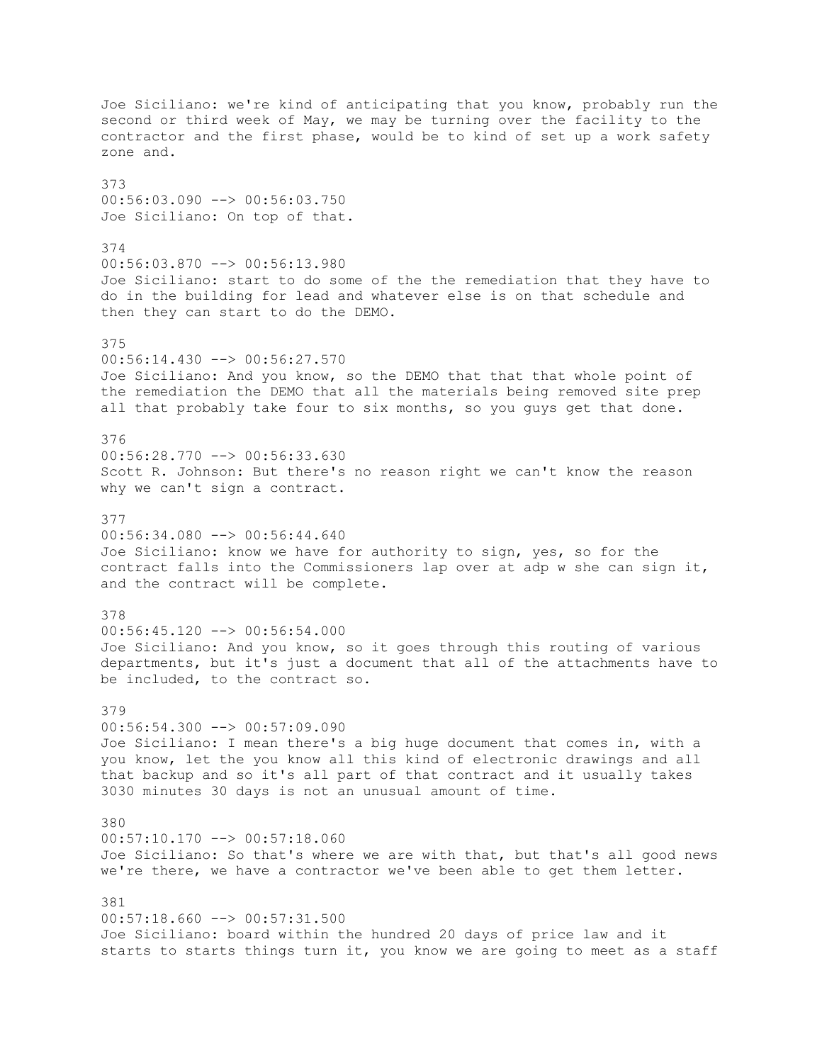Joe Siciliano: we're kind of anticipating that you know, probably run the second or third week of May, we may be turning over the facility to the contractor and the first phase, would be to kind of set up a work safety zone and. 373 00:56:03.090 --> 00:56:03.750 Joe Siciliano: On top of that. 374 00:56:03.870 --> 00:56:13.980 Joe Siciliano: start to do some of the the remediation that they have to do in the building for lead and whatever else is on that schedule and then they can start to do the DEMO. 375 00:56:14.430 --> 00:56:27.570 Joe Siciliano: And you know, so the DEMO that that that whole point of the remediation the DEMO that all the materials being removed site prep all that probably take four to six months, so you guys get that done. 376 00:56:28.770 --> 00:56:33.630 Scott R. Johnson: But there's no reason right we can't know the reason why we can't sign a contract. 377 00:56:34.080 --> 00:56:44.640 Joe Siciliano: know we have for authority to sign, yes, so for the contract falls into the Commissioners lap over at adp w she can sign it, and the contract will be complete. 378  $00:56:45.120$   $\rightarrow$  00:56:54.000 Joe Siciliano: And you know, so it goes through this routing of various departments, but it's just a document that all of the attachments have to be included, to the contract so. 379  $00:56:54.300$  -->  $00:57:09.090$ Joe Siciliano: I mean there's a big huge document that comes in, with a you know, let the you know all this kind of electronic drawings and all that backup and so it's all part of that contract and it usually takes 3030 minutes 30 days is not an unusual amount of time. 380 00:57:10.170 --> 00:57:18.060 Joe Siciliano: So that's where we are with that, but that's all good news we're there, we have a contractor we've been able to get them letter. 381  $00:57:18.660$  -->  $00:57:31.500$ Joe Siciliano: board within the hundred 20 days of price law and it starts to starts things turn it, you know we are going to meet as a staff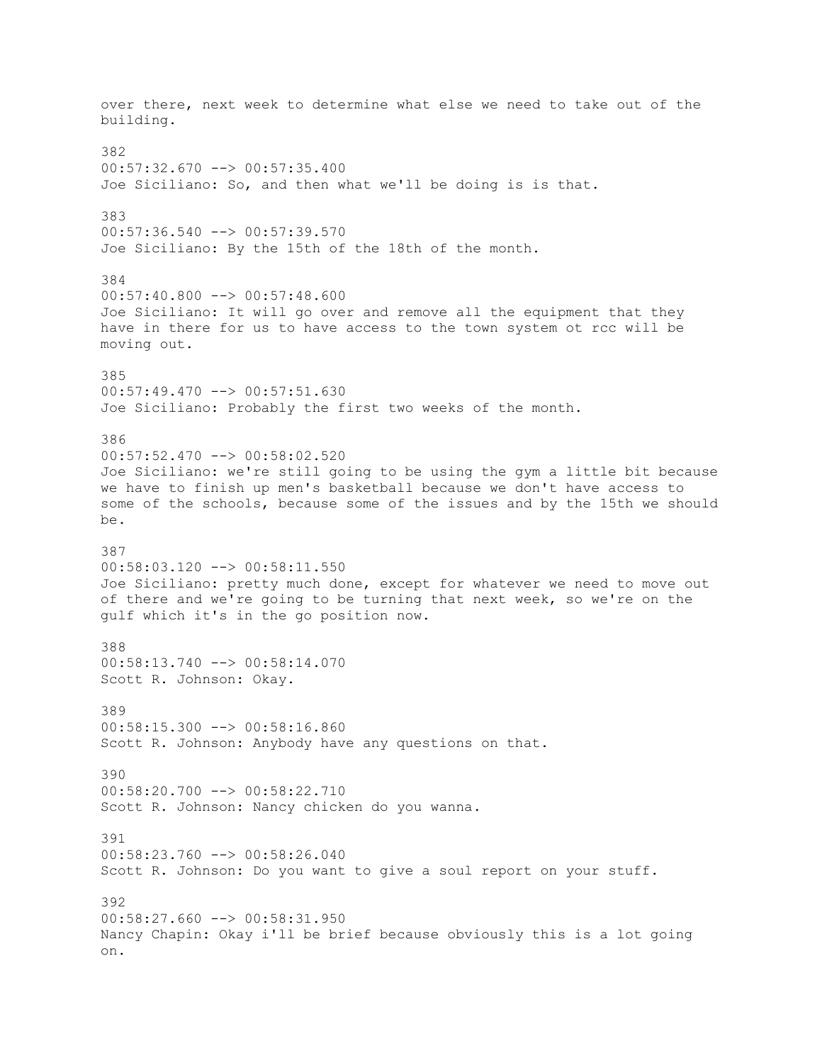over there, next week to determine what else we need to take out of the building. 382 00:57:32.670 --> 00:57:35.400 Joe Siciliano: So, and then what we'll be doing is is that. 383 00:57:36.540 --> 00:57:39.570 Joe Siciliano: By the 15th of the 18th of the month. 384 00:57:40.800 --> 00:57:48.600 Joe Siciliano: It will go over and remove all the equipment that they have in there for us to have access to the town system ot rcc will be moving out. 385 00:57:49.470 --> 00:57:51.630 Joe Siciliano: Probably the first two weeks of the month. 386 00:57:52.470 --> 00:58:02.520 Joe Siciliano: we're still going to be using the gym a little bit because we have to finish up men's basketball because we don't have access to some of the schools, because some of the issues and by the 15th we should be. 387 00:58:03.120 --> 00:58:11.550 Joe Siciliano: pretty much done, except for whatever we need to move out of there and we're going to be turning that next week, so we're on the gulf which it's in the go position now. 388 00:58:13.740 --> 00:58:14.070 Scott R. Johnson: Okay. 389 00:58:15.300 --> 00:58:16.860 Scott R. Johnson: Anybody have any questions on that. 390 00:58:20.700 --> 00:58:22.710 Scott R. Johnson: Nancy chicken do you wanna. 391  $00:58:23.760$   $\rightarrow$   $00:58:26.040$ Scott R. Johnson: Do you want to give a soul report on your stuff. 392  $00:58:27.660$  -->  $00:58:31.950$ Nancy Chapin: Okay i'll be brief because obviously this is a lot going on.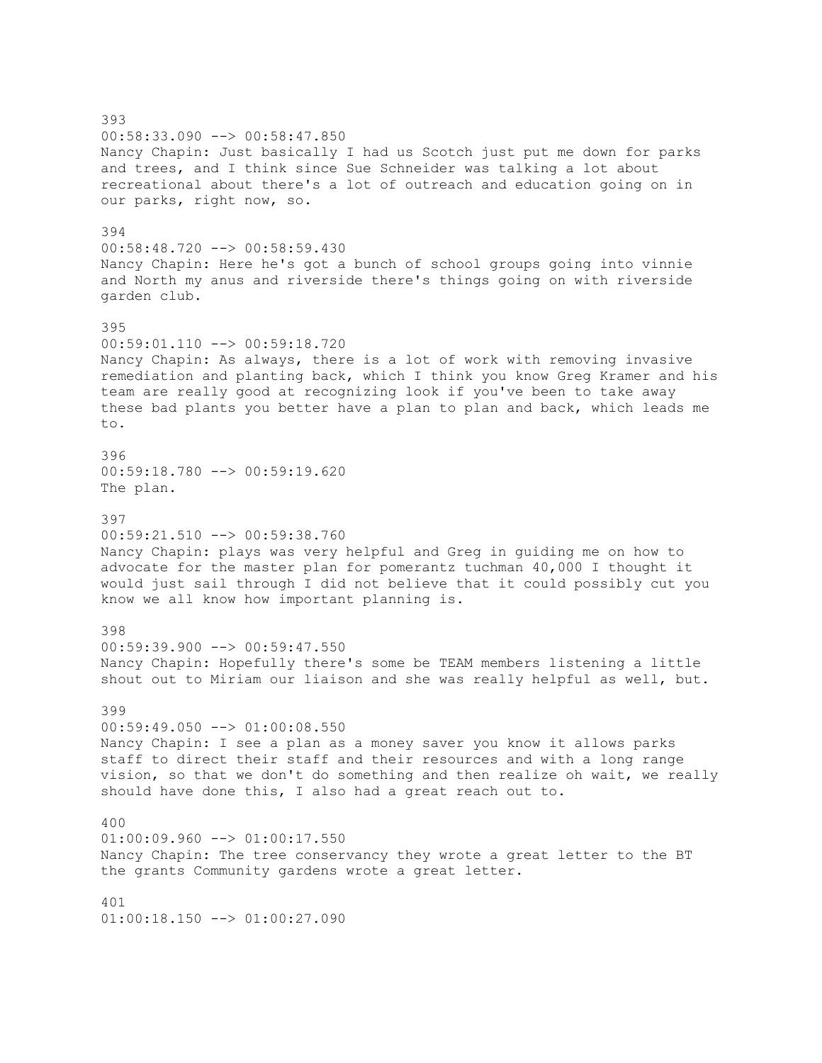393 00:58:33.090 --> 00:58:47.850 Nancy Chapin: Just basically I had us Scotch just put me down for parks and trees, and I think since Sue Schneider was talking a lot about recreational about there's a lot of outreach and education going on in our parks, right now, so. 394 00:58:48.720 --> 00:58:59.430 Nancy Chapin: Here he's got a bunch of school groups going into vinnie and North my anus and riverside there's things going on with riverside garden club. 395 00:59:01.110 --> 00:59:18.720 Nancy Chapin: As always, there is a lot of work with removing invasive remediation and planting back, which I think you know Greg Kramer and his team are really good at recognizing look if you've been to take away these bad plants you better have a plan to plan and back, which leads me to. 396 00:59:18.780 --> 00:59:19.620 The plan. 397 00:59:21.510 --> 00:59:38.760 Nancy Chapin: plays was very helpful and Greg in guiding me on how to advocate for the master plan for pomerantz tuchman 40,000 I thought it would just sail through I did not believe that it could possibly cut you know we all know how important planning is. 398 00:59:39.900 --> 00:59:47.550 Nancy Chapin: Hopefully there's some be TEAM members listening a little shout out to Miriam our liaison and she was really helpful as well, but. 399 00:59:49.050 --> 01:00:08.550 Nancy Chapin: I see a plan as a money saver you know it allows parks staff to direct their staff and their resources and with a long range vision, so that we don't do something and then realize oh wait, we really should have done this, I also had a great reach out to. 400  $01:00:09.960$   $\rightarrow$   $01:00:17.550$ Nancy Chapin: The tree conservancy they wrote a great letter to the BT the grants Community gardens wrote a great letter. 401  $01:00:18.150$  -->  $01:00:27.090$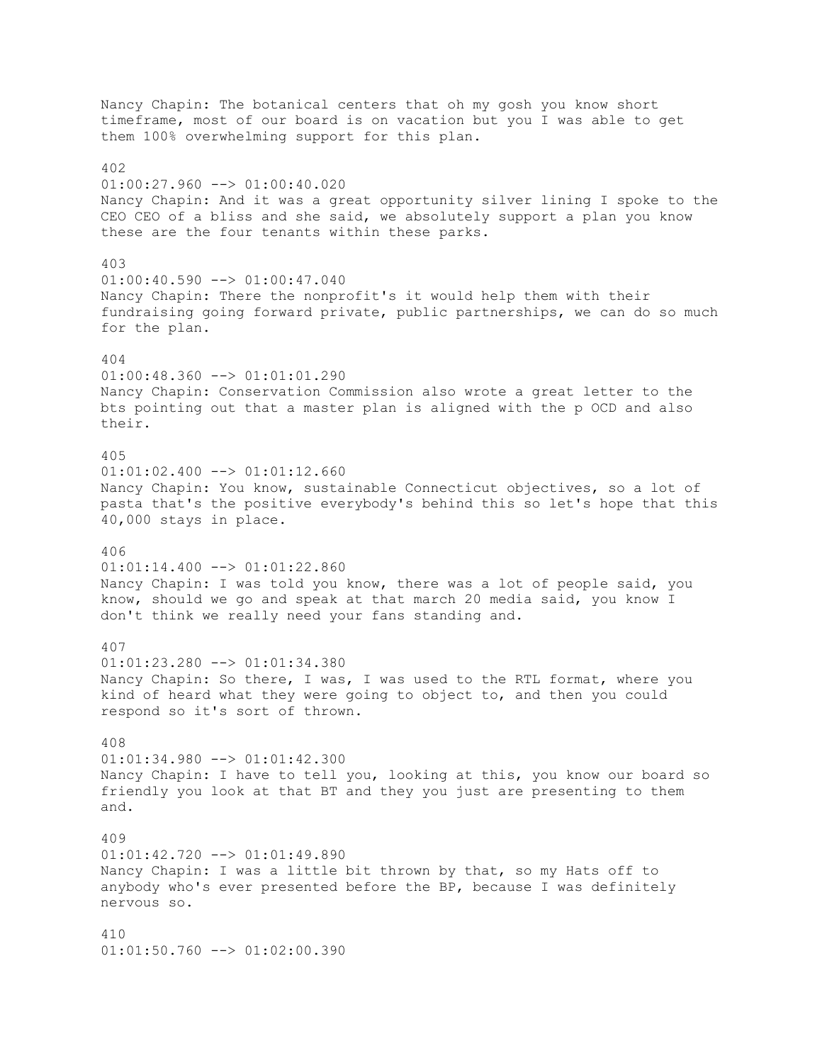Nancy Chapin: The botanical centers that oh my gosh you know short timeframe, most of our board is on vacation but you I was able to get them 100% overwhelming support for this plan. 402  $01:00:27.960$  -->  $01:00:40.020$ Nancy Chapin: And it was a great opportunity silver lining I spoke to the CEO CEO of a bliss and she said, we absolutely support a plan you know these are the four tenants within these parks. 403  $01:00:40.590$  -->  $01:00:47.040$ Nancy Chapin: There the nonprofit's it would help them with their fundraising going forward private, public partnerships, we can do so much for the plan. 404 01:00:48.360 --> 01:01:01.290 Nancy Chapin: Conservation Commission also wrote a great letter to the bts pointing out that a master plan is aligned with the p OCD and also their. 405  $01:01:02.400$  -->  $01:01:12.660$ Nancy Chapin: You know, sustainable Connecticut objectives, so a lot of pasta that's the positive everybody's behind this so let's hope that this 40,000 stays in place. 406 01:01:14.400 --> 01:01:22.860 Nancy Chapin: I was told you know, there was a lot of people said, you know, should we go and speak at that march 20 media said, you know I don't think we really need your fans standing and. 407  $01:01:23.280$  -->  $01:01:34.380$ Nancy Chapin: So there, I was, I was used to the RTL format, where you kind of heard what they were going to object to, and then you could respond so it's sort of thrown. 408 01:01:34.980 --> 01:01:42.300 Nancy Chapin: I have to tell you, looking at this, you know our board so friendly you look at that BT and they you just are presenting to them and. 409 01:01:42.720 --> 01:01:49.890 Nancy Chapin: I was a little bit thrown by that, so my Hats off to anybody who's ever presented before the BP, because I was definitely nervous so. 410 01:01:50.760 --> 01:02:00.390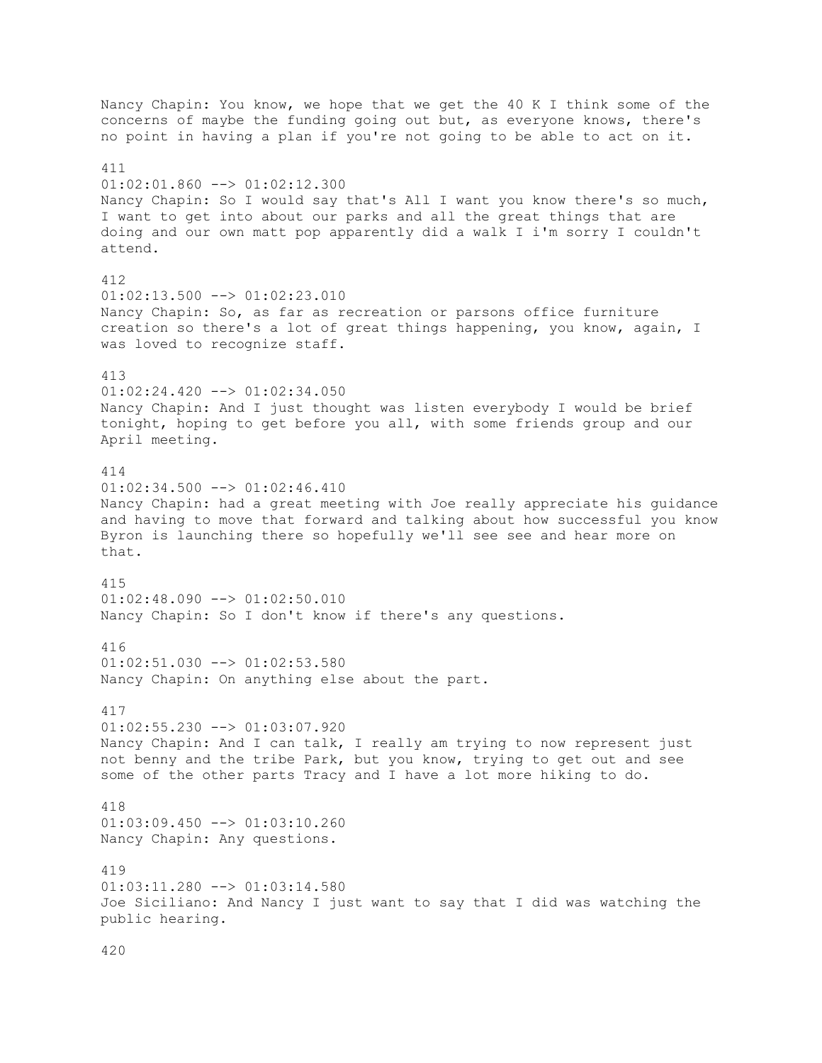Nancy Chapin: You know, we hope that we get the 40 K I think some of the concerns of maybe the funding going out but, as everyone knows, there's no point in having a plan if you're not going to be able to act on it. 411  $01:02:01.860$  -->  $01:02:12.300$ Nancy Chapin: So I would say that's All I want you know there's so much, I want to get into about our parks and all the great things that are doing and our own matt pop apparently did a walk I i'm sorry I couldn't attend. 412  $01:02:13.500$  -->  $01:02:23.010$ Nancy Chapin: So, as far as recreation or parsons office furniture creation so there's a lot of great things happening, you know, again, I was loved to recognize staff. 413  $01:02:24.420$  -->  $01:02:34.050$ Nancy Chapin: And I just thought was listen everybody I would be brief tonight, hoping to get before you all, with some friends group and our April meeting. 414 01:02:34.500 --> 01:02:46.410 Nancy Chapin: had a great meeting with Joe really appreciate his guidance and having to move that forward and talking about how successful you know Byron is launching there so hopefully we'll see see and hear more on that. 415 01:02:48.090 --> 01:02:50.010 Nancy Chapin: So I don't know if there's any questions. 416  $01:02:51.030$  -->  $01:02:53.580$ Nancy Chapin: On anything else about the part. 417 01:02:55.230 --> 01:03:07.920 Nancy Chapin: And I can talk, I really am trying to now represent just not benny and the tribe Park, but you know, trying to get out and see some of the other parts Tracy and I have a lot more hiking to do. 418 01:03:09.450 --> 01:03:10.260 Nancy Chapin: Any questions. 419 01:03:11.280 --> 01:03:14.580 Joe Siciliano: And Nancy I just want to say that I did was watching the public hearing.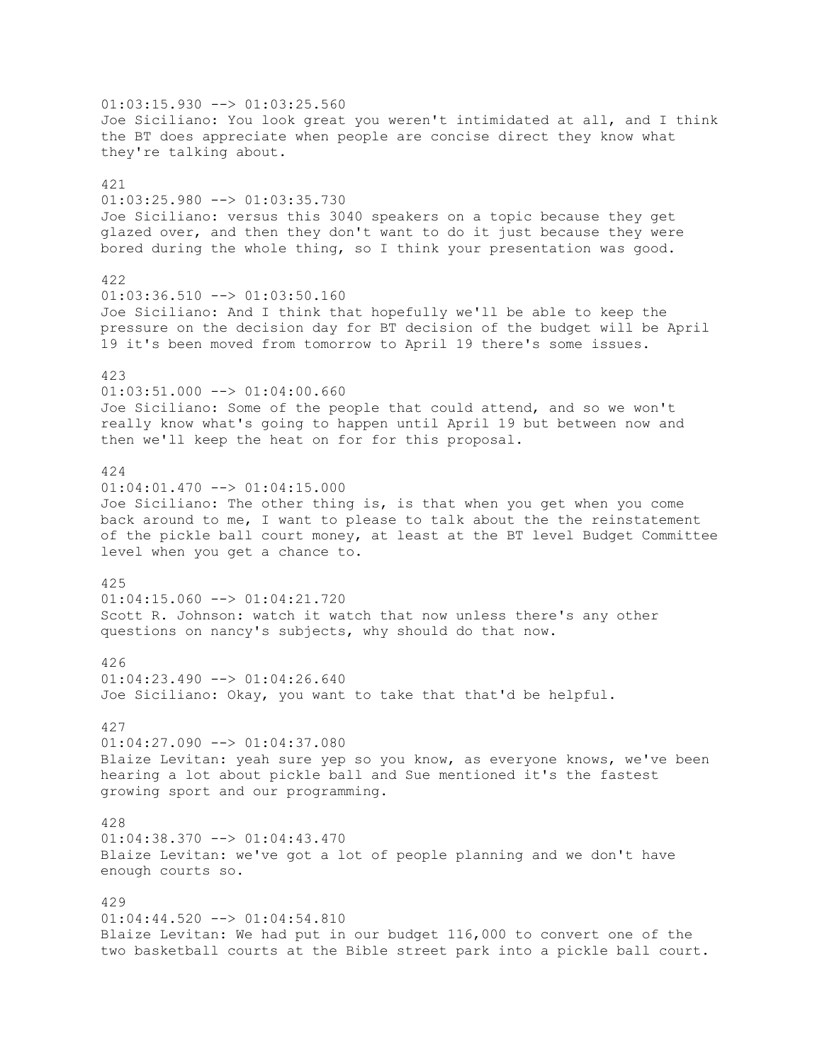$01:03:15.930$  -->  $01:03:25.560$ Joe Siciliano: You look great you weren't intimidated at all, and I think the BT does appreciate when people are concise direct they know what they're talking about. 421 01:03:25.980 --> 01:03:35.730 Joe Siciliano: versus this 3040 speakers on a topic because they get glazed over, and then they don't want to do it just because they were bored during the whole thing, so I think your presentation was good. 422 01:03:36.510 --> 01:03:50.160 Joe Siciliano: And I think that hopefully we'll be able to keep the pressure on the decision day for BT decision of the budget will be April 19 it's been moved from tomorrow to April 19 there's some issues. 423  $01:03:51.000$  -->  $01:04:00.660$ Joe Siciliano: Some of the people that could attend, and so we won't really know what's going to happen until April 19 but between now and then we'll keep the heat on for for this proposal. 424 01:04:01.470 --> 01:04:15.000 Joe Siciliano: The other thing is, is that when you get when you come back around to me, I want to please to talk about the the reinstatement of the pickle ball court money, at least at the BT level Budget Committee level when you get a chance to. 425 01:04:15.060 --> 01:04:21.720 Scott R. Johnson: watch it watch that now unless there's any other questions on nancy's subjects, why should do that now. 426  $01:04:23.490$  -->  $01:04:26.640$ Joe Siciliano: Okay, you want to take that that'd be helpful. 427  $01:04:27.090$  -->  $01:04:37.080$ Blaize Levitan: yeah sure yep so you know, as everyone knows, we've been hearing a lot about pickle ball and Sue mentioned it's the fastest growing sport and our programming. 428  $01:04:38.370$   $\leftarrow$   $>$   $01:04:43.470$ Blaize Levitan: we've got a lot of people planning and we don't have enough courts so. 429  $01:04:44.520$  -->  $01:04:54.810$ Blaize Levitan: We had put in our budget 116,000 to convert one of the two basketball courts at the Bible street park into a pickle ball court.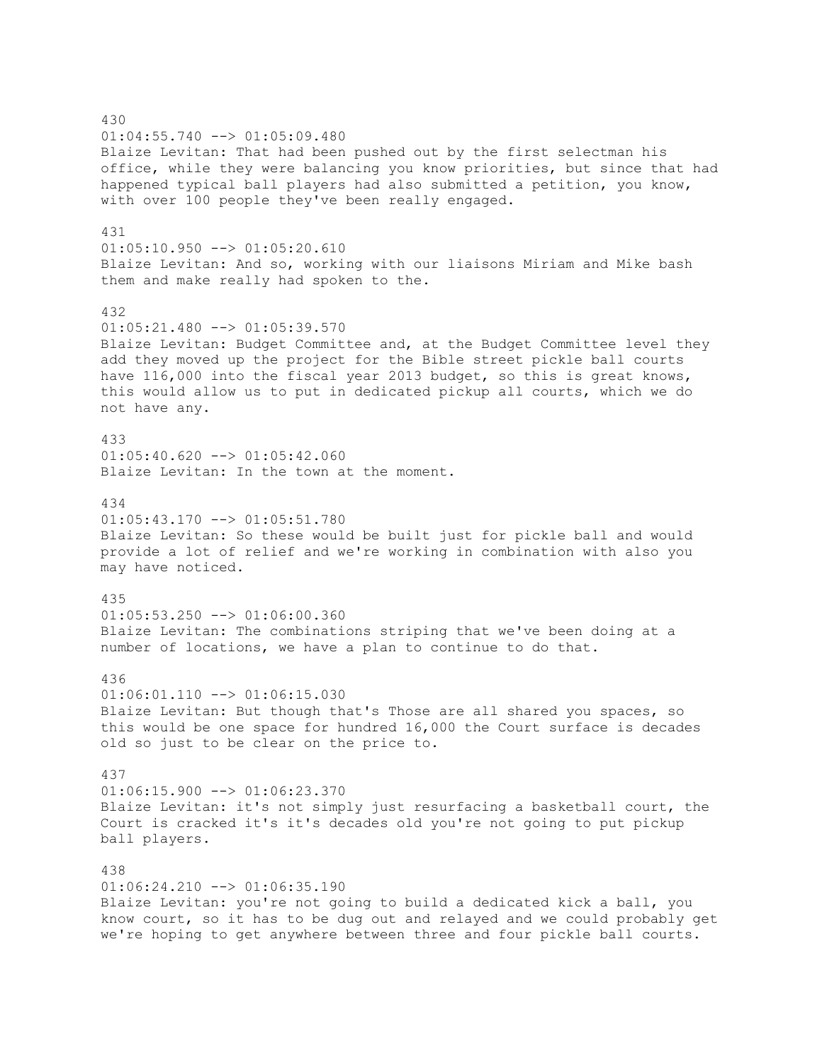430 01:04:55.740 --> 01:05:09.480 Blaize Levitan: That had been pushed out by the first selectman his office, while they were balancing you know priorities, but since that had happened typical ball players had also submitted a petition, you know, with over 100 people they've been really engaged. 431 01:05:10.950 --> 01:05:20.610 Blaize Levitan: And so, working with our liaisons Miriam and Mike bash them and make really had spoken to the. 432  $01:05:21.480$  -->  $01:05:39.570$ Blaize Levitan: Budget Committee and, at the Budget Committee level they add they moved up the project for the Bible street pickle ball courts have 116,000 into the fiscal year 2013 budget, so this is great knows, this would allow us to put in dedicated pickup all courts, which we do not have any. 433 01:05:40.620 --> 01:05:42.060 Blaize Levitan: In the town at the moment. 434  $01:05:43.170$  -->  $01:05:51.780$ Blaize Levitan: So these would be built just for pickle ball and would provide a lot of relief and we're working in combination with also you may have noticed. 435  $01:05:53.250$  -->  $01:06:00.360$ Blaize Levitan: The combinations striping that we've been doing at a number of locations, we have a plan to continue to do that. 436 01:06:01.110 --> 01:06:15.030 Blaize Levitan: But though that's Those are all shared you spaces, so this would be one space for hundred 16,000 the Court surface is decades old so just to be clear on the price to. 437 01:06:15.900 --> 01:06:23.370 Blaize Levitan: it's not simply just resurfacing a basketball court, the Court is cracked it's it's decades old you're not going to put pickup ball players. 438  $01:06:24.210$  -->  $01:06:35.190$ Blaize Levitan: you're not going to build a dedicated kick a ball, you know court, so it has to be dug out and relayed and we could probably get we're hoping to get anywhere between three and four pickle ball courts.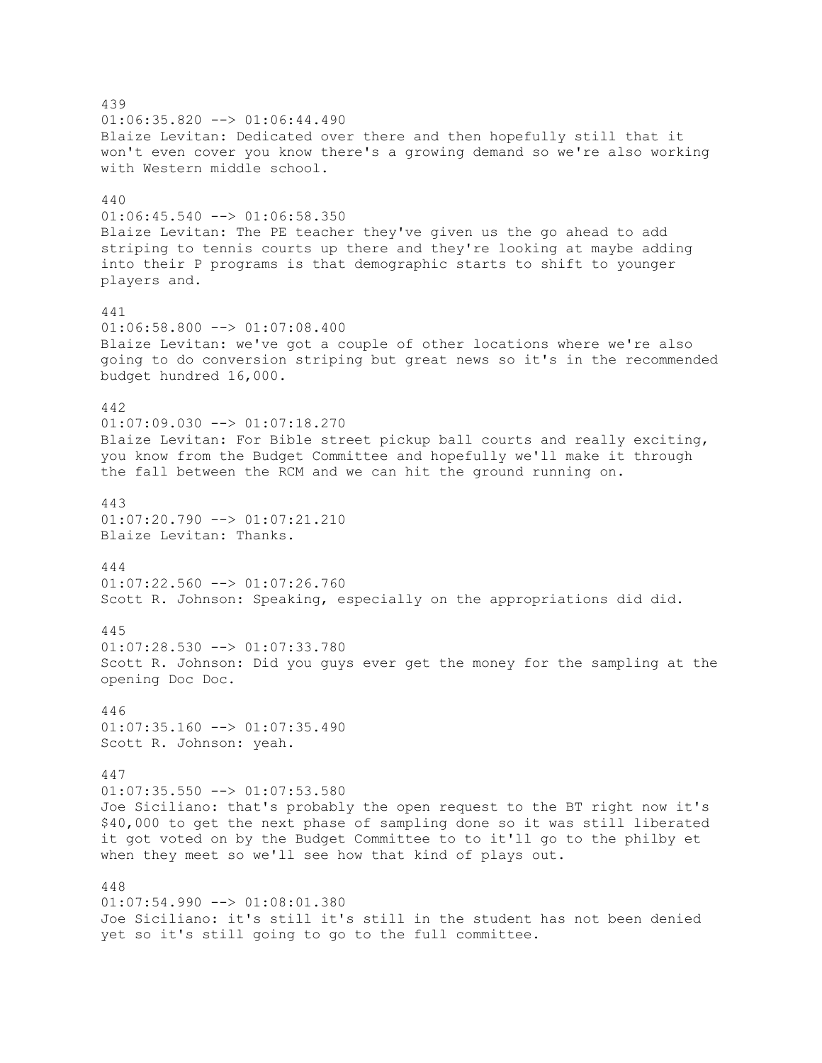439  $01:06:35.820$  -->  $01:06:44.490$ Blaize Levitan: Dedicated over there and then hopefully still that it won't even cover you know there's a growing demand so we're also working with Western middle school. 440 01:06:45.540 --> 01:06:58.350 Blaize Levitan: The PE teacher they've given us the go ahead to add striping to tennis courts up there and they're looking at maybe adding into their P programs is that demographic starts to shift to younger players and. 441  $01:06:58.800$  -->  $01:07:08.400$ Blaize Levitan: we've got a couple of other locations where we're also going to do conversion striping but great news so it's in the recommended budget hundred 16,000. 442 01:07:09.030 --> 01:07:18.270 Blaize Levitan: For Bible street pickup ball courts and really exciting, you know from the Budget Committee and hopefully we'll make it through the fall between the RCM and we can hit the ground running on. 443  $01:07:20.790$  -->  $01:07:21.210$ Blaize Levitan: Thanks. 444 01:07:22.560 --> 01:07:26.760 Scott R. Johnson: Speaking, especially on the appropriations did did. 445 01:07:28.530 --> 01:07:33.780 Scott R. Johnson: Did you guys ever get the money for the sampling at the opening Doc Doc. 446 01:07:35.160 --> 01:07:35.490 Scott R. Johnson: yeah. 447 01:07:35.550 --> 01:07:53.580 Joe Siciliano: that's probably the open request to the BT right now it's \$40,000 to get the next phase of sampling done so it was still liberated it got voted on by the Budget Committee to to it'll go to the philby et when they meet so we'll see how that kind of plays out. 448 01:07:54.990 --> 01:08:01.380 Joe Siciliano: it's still it's still in the student has not been denied

yet so it's still going to go to the full committee.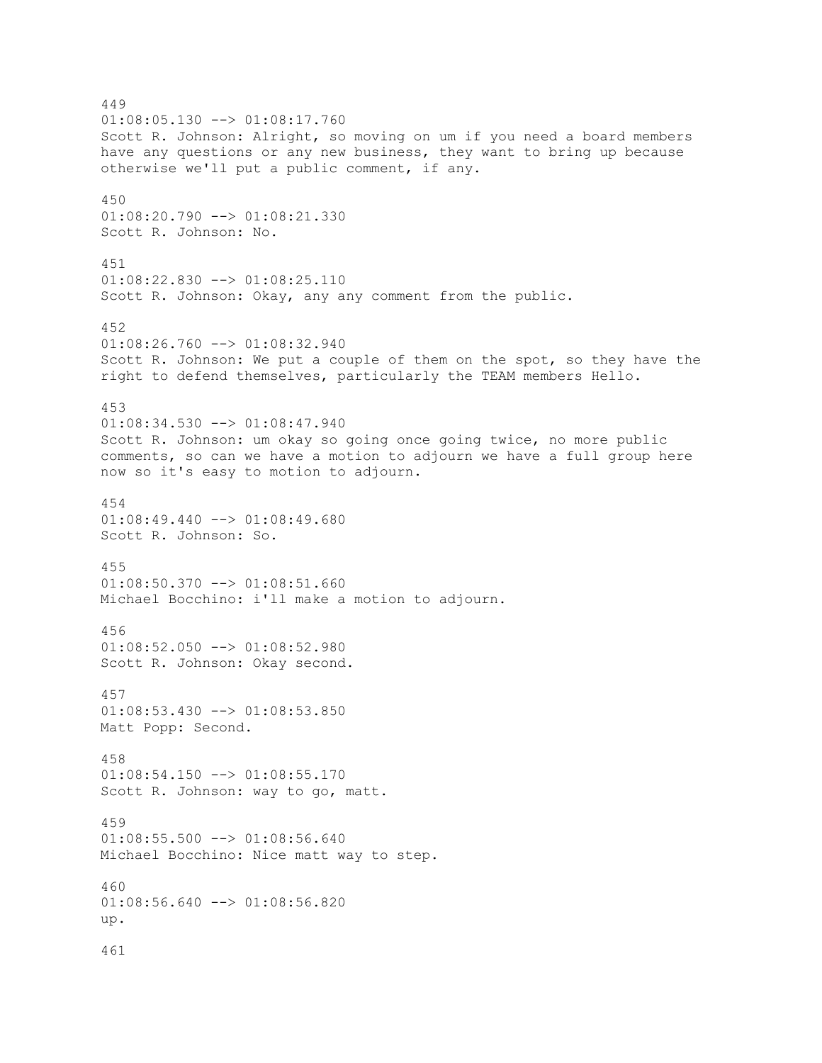449  $01:08:05.130$  -->  $01:08:17.760$ Scott R. Johnson: Alright, so moving on um if you need a board members have any questions or any new business, they want to bring up because otherwise we'll put a public comment, if any. 450 01:08:20.790 --> 01:08:21.330 Scott R. Johnson: No. 451 01:08:22.830 --> 01:08:25.110 Scott R. Johnson: Okay, any any comment from the public. 452  $01:08:26.760$   $\longrightarrow$   $01:08:32.940$ Scott R. Johnson: We put a couple of them on the spot, so they have the right to defend themselves, particularly the TEAM members Hello. 453 01:08:34.530 --> 01:08:47.940 Scott R. Johnson: um okay so going once going twice, no more public comments, so can we have a motion to adjourn we have a full group here now so it's easy to motion to adjourn. 454  $01:08:49.440$  -->  $01:08:49.680$ Scott R. Johnson: So. 455 01:08:50.370 --> 01:08:51.660 Michael Bocchino: i'll make a motion to adjourn. 456 01:08:52.050 --> 01:08:52.980 Scott R. Johnson: Okay second. 457 01:08:53.430 --> 01:08:53.850 Matt Popp: Second. 458 01:08:54.150 --> 01:08:55.170 Scott R. Johnson: way to go, matt. 459 01:08:55.500 --> 01:08:56.640 Michael Bocchino: Nice matt way to step. 460 01:08:56.640 --> 01:08:56.820 up. 461